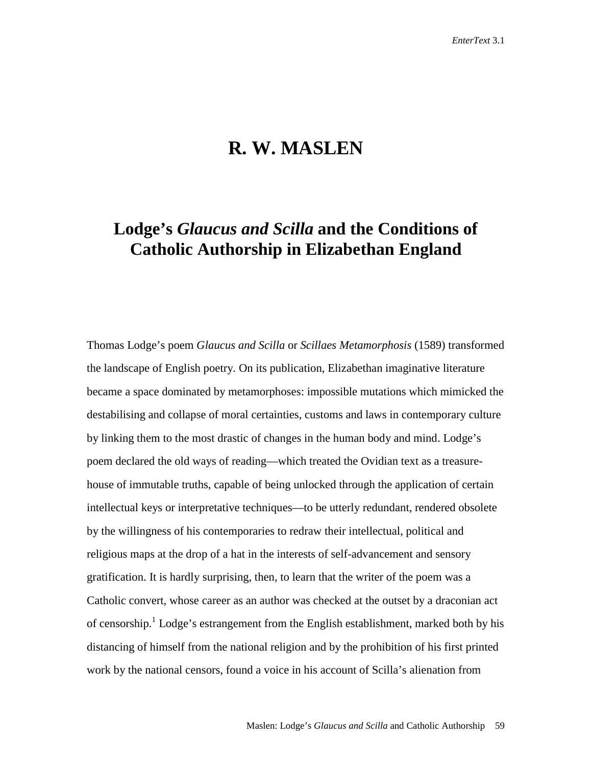# **R. W. MASLEN**

## **Lodge's** *Glaucus and Scilla* **and the Conditions of Catholic Authorship in Elizabethan England**

Thomas Lodge's poem *Glaucus and Scilla* or *Scillaes Metamorphosis* (1589) transformed the landscape of English poetry. On its publication, Elizabethan imaginative literature became a space dominated by metamorphoses: impossible mutations which mimicked the destabilising and collapse of moral certainties, customs and laws in contemporary culture by linking them to the most drastic of changes in the human body and mind. Lodge's poem declared the old ways of reading—which treated the Ovidian text as a treasurehouse of immutable truths, capable of being unlocked through the application of certain intellectual keys or interpretative techniques—to be utterly redundant, rendered obsolete by the willingness of his contemporaries to redraw their intellectual, political and religious maps at the drop of a hat in the interests of self-advancement and sensory gratification. It is hardly surprising, then, to learn that the writer of the poem was a Catholic convert, whose career as an author was checked at the outset by a draconian act of censorship.<sup>1</sup> Lodge's estrangement from the English establishment, marked both by his distancing of himself from the national religion and by the prohibition of his first printed work by the national censors, found a voice in his account of Scilla's alienation from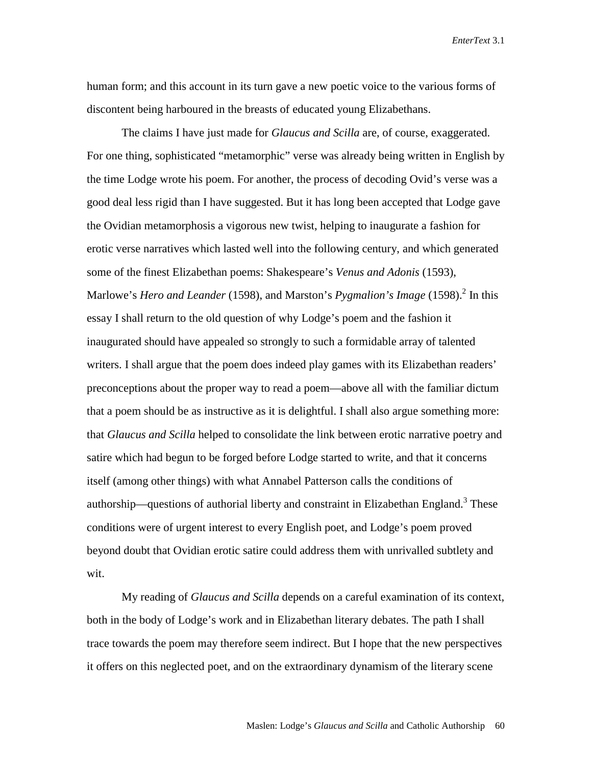human form; and this account in its turn gave a new poetic voice to the various forms of discontent being harboured in the breasts of educated young Elizabethans.

The claims I have just made for *Glaucus and Scilla* are, of course, exaggerated. For one thing, sophisticated "metamorphic" verse was already being written in English by the time Lodge wrote his poem. For another, the process of decoding Ovid's verse was a good deal less rigid than I have suggested. But it has long been accepted that Lodge gave the Ovidian metamorphosis a vigorous new twist, helping to inaugurate a fashion for erotic verse narratives which lasted well into the following century, and which generated some of the finest Elizabethan poems: Shakespeare's *Venus and Adonis* (1593), Marlowe's *Hero and Leander* (1598), and Marston's *Pygmalion's Image* (1598).<sup>2</sup> In this essay I shall return to the old question of why Lodge's poem and the fashion it inaugurated should have appealed so strongly to such a formidable array of talented writers. I shall argue that the poem does indeed play games with its Elizabethan readers' preconceptions about the proper way to read a poem—above all with the familiar dictum that a poem should be as instructive as it is delightful. I shall also argue something more: that *Glaucus and Scilla* helped to consolidate the link between erotic narrative poetry and satire which had begun to be forged before Lodge started to write, and that it concerns itself (among other things) with what Annabel Patterson calls the conditions of authorship—questions of authorial liberty and constraint in Elizabethan England.<sup>3</sup> These conditions were of urgent interest to every English poet, and Lodge's poem proved beyond doubt that Ovidian erotic satire could address them with unrivalled subtlety and wit.

My reading of *Glaucus and Scilla* depends on a careful examination of its context, both in the body of Lodge's work and in Elizabethan literary debates. The path I shall trace towards the poem may therefore seem indirect. But I hope that the new perspectives it offers on this neglected poet, and on the extraordinary dynamism of the literary scene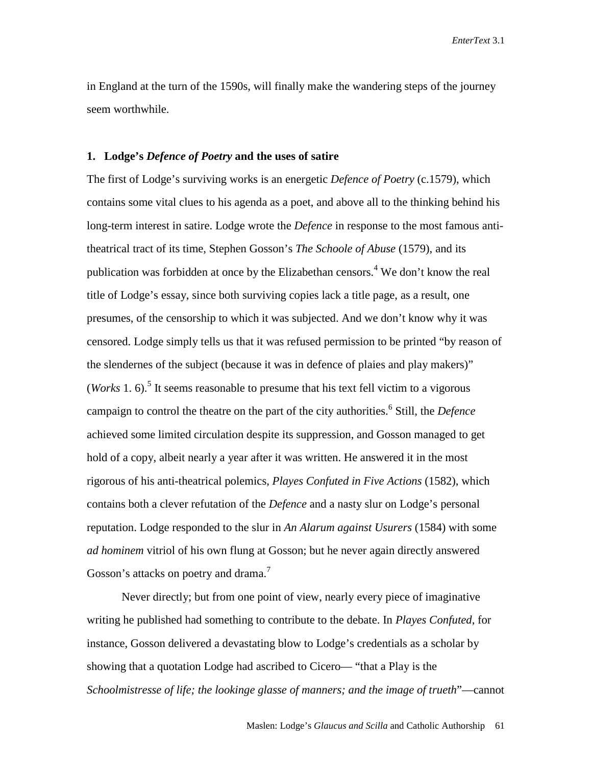in England at the turn of the 1590s, will finally make the wandering steps of the journey seem worthwhile.

### **1. Lodge's** *Defence of Poetry* **and the uses of satire**

The first of Lodge's surviving works is an energetic *Defence of Poetry* (c.1579), which contains some vital clues to his agenda as a poet, and above all to the thinking behind his long-term interest in satire. Lodge wrote the *Defence* in response to the most famous antitheatrical tract of its time, Stephen Gosson's *The Schoole of Abuse* (1579), and its publication was forbidden at once by the Elizabethan censors.<sup>4</sup> We don't know the real title of Lodge's essay, since both surviving copies lack a title page, as a result, one presumes, of the censorship to which it was subjected. And we don't know why it was censored. Lodge simply tells us that it was refused permission to be printed "by reason of the slendernes of the subject (because it was in defence of plaies and play makers)" (*Works* 1. 6).<sup>5</sup> It seems reasonable to presume that his text fell victim to a vigorous campaign to control the theatre on the part of the city authorities.<sup>6</sup> Still, the *Defence* achieved some limited circulation despite its suppression, and Gosson managed to get hold of a copy, albeit nearly a year after it was written. He answered it in the most rigorous of his anti-theatrical polemics, *Playes Confuted in Five Actions* (1582), which contains both a clever refutation of the *Defence* and a nasty slur on Lodge's personal reputation. Lodge responded to the slur in *An Alarum against Usurers* (1584) with some *ad hominem* vitriol of his own flung at Gosson; but he never again directly answered Gosson's attacks on poetry and drama.<sup>7</sup>

Never directly; but from one point of view, nearly every piece of imaginative writing he published had something to contribute to the debate. In *Playes Confuted*, for instance, Gosson delivered a devastating blow to Lodge's credentials as a scholar by showing that a quotation Lodge had ascribed to Cicero— "that a Play is the *Schoolmistresse of life; the lookinge glasse of manners; and the image of trueth*"—cannot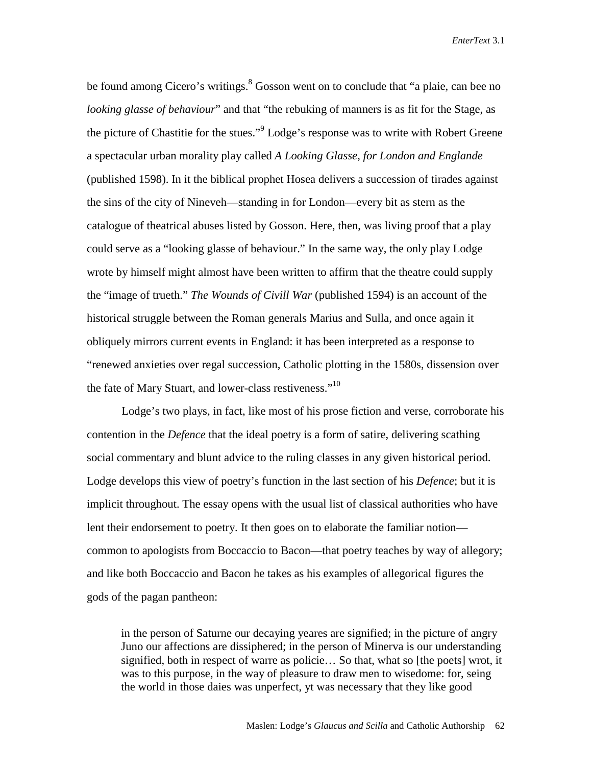be found among Cicero's writings.<sup>8</sup> Gosson went on to conclude that "a plaie, can bee no *looking glasse of behaviour*" and that "the rebuking of manners is as fit for the Stage, as the picture of Chastitie for the stues."<sup>9</sup> Lodge's response was to write with Robert Greene a spectacular urban morality play called *A Looking Glasse, for London and Englande* (published 1598). In it the biblical prophet Hosea delivers a succession of tirades against the sins of the city of Nineveh—standing in for London—every bit as stern as the catalogue of theatrical abuses listed by Gosson. Here, then, was living proof that a play could serve as a "looking glasse of behaviour." In the same way, the only play Lodge wrote by himself might almost have been written to affirm that the theatre could supply the "image of trueth." *The Wounds of Civill War* (published 1594) is an account of the historical struggle between the Roman generals Marius and Sulla, and once again it obliquely mirrors current events in England: it has been interpreted as a response to "renewed anxieties over regal succession, Catholic plotting in the 1580s, dissension over the fate of Mary Stuart, and lower-class restiveness."<sup>10</sup>

Lodge's two plays, in fact, like most of his prose fiction and verse, corroborate his contention in the *Defence* that the ideal poetry is a form of satire, delivering scathing social commentary and blunt advice to the ruling classes in any given historical period. Lodge develops this view of poetry's function in the last section of his *Defence*; but it is implicit throughout. The essay opens with the usual list of classical authorities who have lent their endorsement to poetry. It then goes on to elaborate the familiar notion common to apologists from Boccaccio to Bacon—that poetry teaches by way of allegory; and like both Boccaccio and Bacon he takes as his examples of allegorical figures the gods of the pagan pantheon:

in the person of Saturne our decaying yeares are signified; in the picture of angry Juno our affections are dissiphered; in the person of Minerva is our understanding signified, both in respect of warre as policie… So that, what so [the poets] wrot, it was to this purpose, in the way of pleasure to draw men to wisedome: for, seing the world in those daies was unperfect, yt was necessary that they like good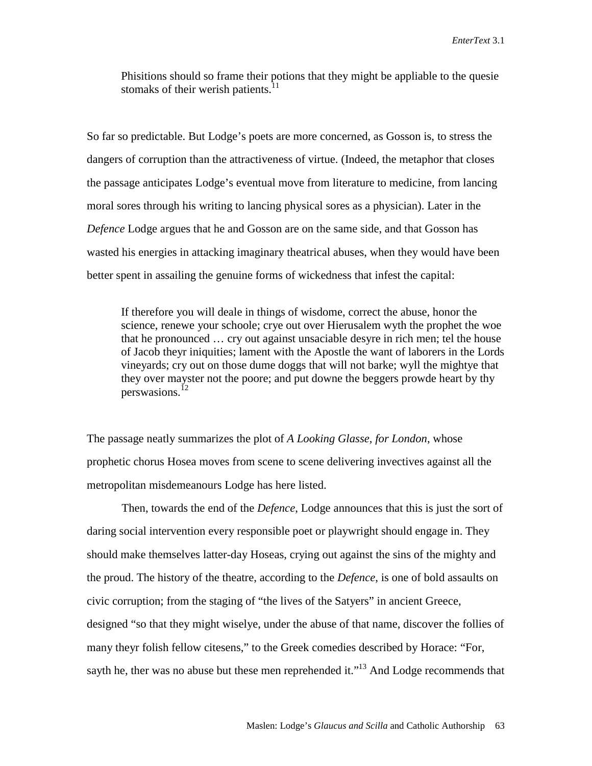Phisitions should so frame their potions that they might be appliable to the quesie stomaks of their werish patients. $^{11}$ 

So far so predictable. But Lodge's poets are more concerned, as Gosson is, to stress the dangers of corruption than the attractiveness of virtue. (Indeed, the metaphor that closes the passage anticipates Lodge's eventual move from literature to medicine, from lancing moral sores through his writing to lancing physical sores as a physician). Later in the *Defence* Lodge argues that he and Gosson are on the same side, and that Gosson has wasted his energies in attacking imaginary theatrical abuses, when they would have been better spent in assailing the genuine forms of wickedness that infest the capital:

If therefore you will deale in things of wisdome, correct the abuse, honor the science, renewe your schoole; crye out over Hierusalem wyth the prophet the woe that he pronounced … cry out against unsaciable desyre in rich men; tel the house of Jacob theyr iniquities; lament with the Apostle the want of laborers in the Lords vineyards; cry out on those dume doggs that will not barke; wyll the mightye that they over mayster not the poore; and put downe the beggers prowde heart by thy perswasions.<sup>12</sup>

The passage neatly summarizes the plot of *A Looking Glasse, for London*, whose prophetic chorus Hosea moves from scene to scene delivering invectives against all the metropolitan misdemeanours Lodge has here listed.

Then, towards the end of the *Defence*, Lodge announces that this is just the sort of daring social intervention every responsible poet or playwright should engage in. They should make themselves latter-day Hoseas, crying out against the sins of the mighty and the proud. The history of the theatre, according to the *Defence*, is one of bold assaults on civic corruption; from the staging of "the lives of the Satyers" in ancient Greece, designed "so that they might wiselye, under the abuse of that name, discover the follies of many theyr folish fellow citesens," to the Greek comedies described by Horace: "For, sayth he, ther was no abuse but these men reprehended it."<sup>13</sup> And Lodge recommends that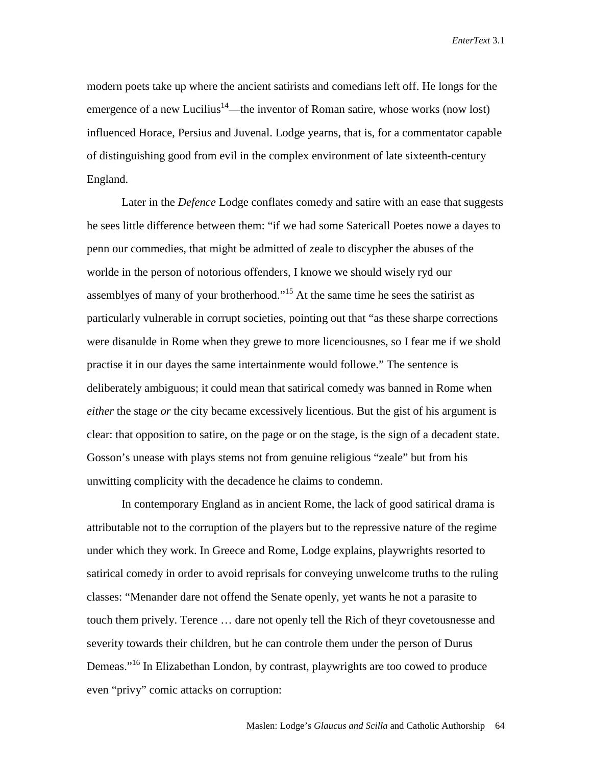modern poets take up where the ancient satirists and comedians left off. He longs for the emergence of a new Lucilius<sup>14</sup>—the inventor of Roman satire, whose works (now lost) influenced Horace, Persius and Juvenal. Lodge yearns, that is, for a commentator capable of distinguishing good from evil in the complex environment of late sixteenth-century England.

 Later in the *Defence* Lodge conflates comedy and satire with an ease that suggests he sees little difference between them: "if we had some Satericall Poetes nowe a dayes to penn our commedies, that might be admitted of zeale to discypher the abuses of the worlde in the person of notorious offenders, I knowe we should wisely ryd our assemblyes of many of your brotherhood."<sup>15</sup> At the same time he sees the satirist as particularly vulnerable in corrupt societies, pointing out that "as these sharpe corrections were disanulde in Rome when they grewe to more licenciousnes, so I fear me if we shold practise it in our dayes the same intertainmente would followe." The sentence is deliberately ambiguous; it could mean that satirical comedy was banned in Rome when *either* the stage *or* the city became excessively licentious. But the gist of his argument is clear: that opposition to satire, on the page or on the stage, is the sign of a decadent state. Gosson's unease with plays stems not from genuine religious "zeale" but from his unwitting complicity with the decadence he claims to condemn.

 In contemporary England as in ancient Rome, the lack of good satirical drama is attributable not to the corruption of the players but to the repressive nature of the regime under which they work. In Greece and Rome, Lodge explains, playwrights resorted to satirical comedy in order to avoid reprisals for conveying unwelcome truths to the ruling classes: "Menander dare not offend the Senate openly, yet wants he not a parasite to touch them prively. Terence … dare not openly tell the Rich of theyr covetousnesse and severity towards their children, but he can controle them under the person of Durus Demeas."16 In Elizabethan London, by contrast, playwrights are too cowed to produce even "privy" comic attacks on corruption: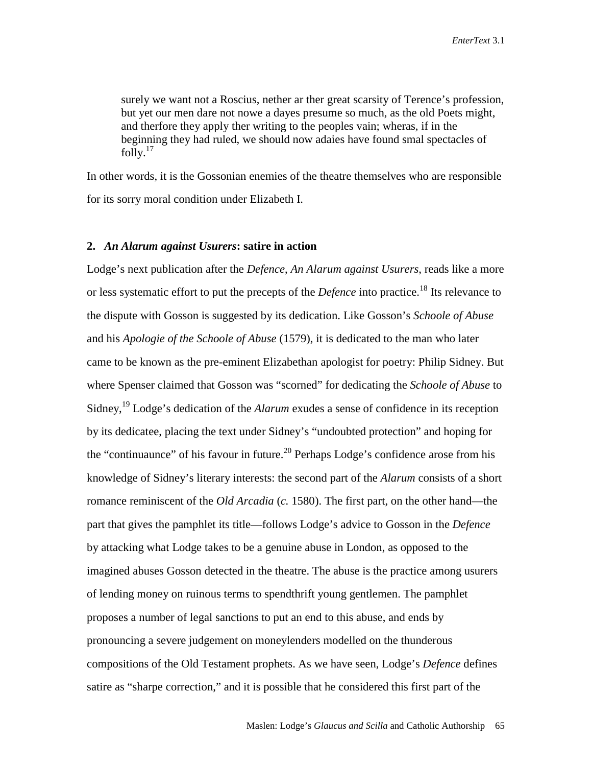surely we want not a Roscius, nether ar ther great scarsity of Terence's profession, but yet our men dare not nowe a dayes presume so much, as the old Poets might, and therfore they apply ther writing to the peoples vain; wheras, if in the beginning they had ruled, we should now adaies have found smal spectacles of folly. $17$ 

In other words, it is the Gossonian enemies of the theatre themselves who are responsible for its sorry moral condition under Elizabeth I.

#### **2.** *An Alarum against Usurers***: satire in action**

Lodge's next publication after the *Defence*, *An Alarum against Usurers*, reads like a more or less systematic effort to put the precepts of the *Defence* into practice.18 Its relevance to the dispute with Gosson is suggested by its dedication. Like Gosson's *Schoole of Abuse* and his *Apologie of the Schoole of Abuse* (1579), it is dedicated to the man who later came to be known as the pre-eminent Elizabethan apologist for poetry: Philip Sidney. But where Spenser claimed that Gosson was "scorned" for dedicating the *Schoole of Abuse* to Sidney,19 Lodge's dedication of the *Alarum* exudes a sense of confidence in its reception by its dedicatee, placing the text under Sidney's "undoubted protection" and hoping for the "continuaunce" of his favour in future.<sup>20</sup> Perhaps Lodge's confidence arose from his knowledge of Sidney's literary interests: the second part of the *Alarum* consists of a short romance reminiscent of the *Old Arcadia* (*c.* 1580). The first part, on the other hand—the part that gives the pamphlet its title—follows Lodge's advice to Gosson in the *Defence* by attacking what Lodge takes to be a genuine abuse in London, as opposed to the imagined abuses Gosson detected in the theatre. The abuse is the practice among usurers of lending money on ruinous terms to spendthrift young gentlemen. The pamphlet proposes a number of legal sanctions to put an end to this abuse, and ends by pronouncing a severe judgement on moneylenders modelled on the thunderous compositions of the Old Testament prophets. As we have seen, Lodge's *Defence* defines satire as "sharpe correction," and it is possible that he considered this first part of the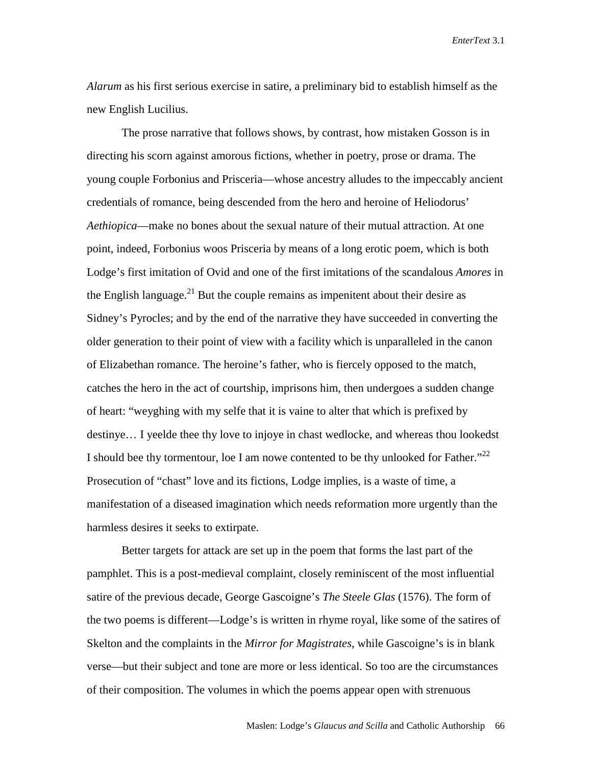*Alarum* as his first serious exercise in satire, a preliminary bid to establish himself as the new English Lucilius.

 The prose narrative that follows shows, by contrast, how mistaken Gosson is in directing his scorn against amorous fictions, whether in poetry, prose or drama. The young couple Forbonius and Prisceria—whose ancestry alludes to the impeccably ancient credentials of romance, being descended from the hero and heroine of Heliodorus' *Aethiopica*—make no bones about the sexual nature of their mutual attraction. At one point, indeed, Forbonius woos Prisceria by means of a long erotic poem, which is both Lodge's first imitation of Ovid and one of the first imitations of the scandalous *Amores* in the English language.<sup>21</sup> But the couple remains as impenitent about their desire as Sidney's Pyrocles; and by the end of the narrative they have succeeded in converting the older generation to their point of view with a facility which is unparalleled in the canon of Elizabethan romance. The heroine's father, who is fiercely opposed to the match, catches the hero in the act of courtship, imprisons him, then undergoes a sudden change of heart: "weyghing with my selfe that it is vaine to alter that which is prefixed by destinye… I yeelde thee thy love to injoye in chast wedlocke, and whereas thou lookedst I should bee thy tormentour, loe I am nowe contented to be thy unlooked for Father."<sup>22</sup> Prosecution of "chast" love and its fictions, Lodge implies, is a waste of time, a manifestation of a diseased imagination which needs reformation more urgently than the harmless desires it seeks to extirpate.

 Better targets for attack are set up in the poem that forms the last part of the pamphlet. This is a post-medieval complaint, closely reminiscent of the most influential satire of the previous decade, George Gascoigne's *The Steele Glas* (1576). The form of the two poems is different—Lodge's is written in rhyme royal, like some of the satires of Skelton and the complaints in the *Mirror for Magistrates*, while Gascoigne's is in blank verse—but their subject and tone are more or less identical. So too are the circumstances of their composition. The volumes in which the poems appear open with strenuous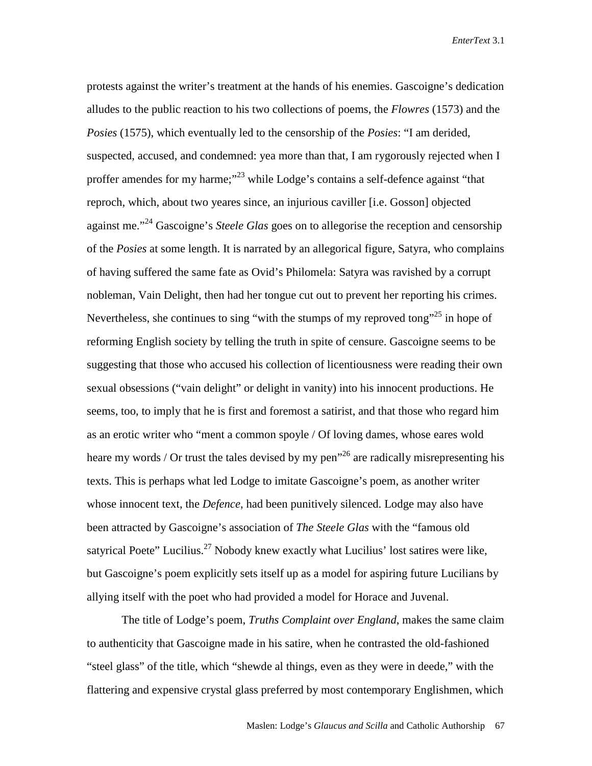protests against the writer's treatment at the hands of his enemies. Gascoigne's dedication alludes to the public reaction to his two collections of poems, the *Flowres* (1573) and the *Posies* (1575), which eventually led to the censorship of the *Posies*: "I am derided, suspected, accused, and condemned: yea more than that, I am rygorously rejected when I proffer amendes for my harme;<sup>"23</sup> while Lodge's contains a self-defence against "that reproch, which, about two yeares since, an injurious caviller [i.e. Gosson] objected against me."24 Gascoigne's *Steele Glas* goes on to allegorise the reception and censorship of the *Posies* at some length. It is narrated by an allegorical figure, Satyra, who complains of having suffered the same fate as Ovid's Philomela: Satyra was ravished by a corrupt nobleman, Vain Delight, then had her tongue cut out to prevent her reporting his crimes. Nevertheless, she continues to sing "with the stumps of my reproved tong"<sup>25</sup> in hope of reforming English society by telling the truth in spite of censure. Gascoigne seems to be suggesting that those who accused his collection of licentiousness were reading their own sexual obsessions ("vain delight" or delight in vanity) into his innocent productions. He seems, too, to imply that he is first and foremost a satirist, and that those who regard him as an erotic writer who "ment a common spoyle / Of loving dames, whose eares wold heare my words / Or trust the tales devised by my pen<sup> $26$ </sup> are radically misrepresenting his texts. This is perhaps what led Lodge to imitate Gascoigne's poem, as another writer whose innocent text, the *Defence*, had been punitively silenced. Lodge may also have been attracted by Gascoigne's association of *The Steele Glas* with the "famous old satyrical Poete" Lucilius.<sup>27</sup> Nobody knew exactly what Lucilius' lost satires were like, but Gascoigne's poem explicitly sets itself up as a model for aspiring future Lucilians by allying itself with the poet who had provided a model for Horace and Juvenal.

The title of Lodge's poem, *Truths Complaint over England*, makes the same claim to authenticity that Gascoigne made in his satire, when he contrasted the old-fashioned "steel glass" of the title, which "shewde al things, even as they were in deede," with the flattering and expensive crystal glass preferred by most contemporary Englishmen, which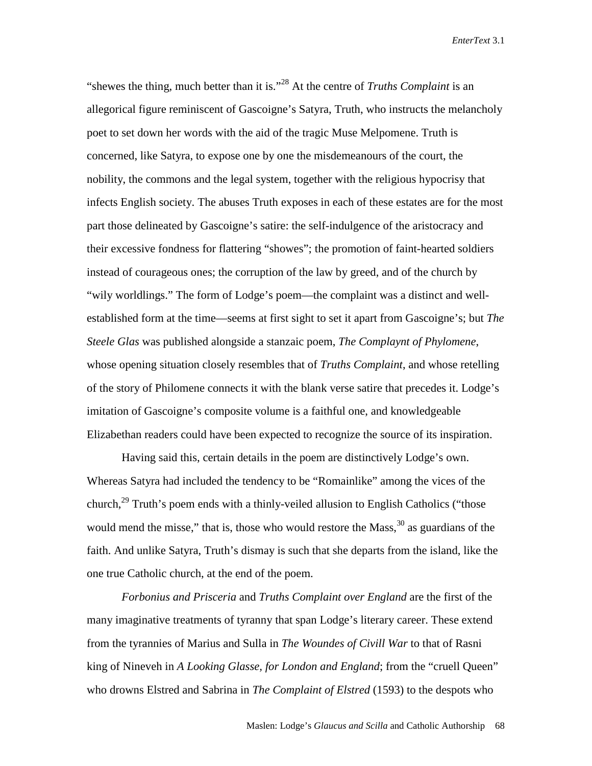"shewes the thing, much better than it is."28 At the centre of *Truths Complaint* is an allegorical figure reminiscent of Gascoigne's Satyra, Truth, who instructs the melancholy poet to set down her words with the aid of the tragic Muse Melpomene. Truth is concerned, like Satyra, to expose one by one the misdemeanours of the court, the nobility, the commons and the legal system, together with the religious hypocrisy that infects English society. The abuses Truth exposes in each of these estates are for the most part those delineated by Gascoigne's satire: the self-indulgence of the aristocracy and their excessive fondness for flattering "showes"; the promotion of faint-hearted soldiers instead of courageous ones; the corruption of the law by greed, and of the church by "wily worldlings." The form of Lodge's poem—the complaint was a distinct and wellestablished form at the time—seems at first sight to set it apart from Gascoigne's; but *The Steele Glas* was published alongside a stanzaic poem, *The Complaynt of Phylomene*, whose opening situation closely resembles that of *Truths Complaint*, and whose retelling of the story of Philomene connects it with the blank verse satire that precedes it. Lodge's imitation of Gascoigne's composite volume is a faithful one, and knowledgeable Elizabethan readers could have been expected to recognize the source of its inspiration.

Having said this, certain details in the poem are distinctively Lodge's own. Whereas Satyra had included the tendency to be "Romainlike" among the vices of the church,<sup>29</sup> Truth's poem ends with a thinly-veiled allusion to English Catholics ("those would mend the misse," that is, those who would restore the Mass, $30$  as guardians of the faith. And unlike Satyra, Truth's dismay is such that she departs from the island, like the one true Catholic church, at the end of the poem.

*Forbonius and Prisceria* and *Truths Complaint over England* are the first of the many imaginative treatments of tyranny that span Lodge's literary career. These extend from the tyrannies of Marius and Sulla in *The Woundes of Civill War* to that of Rasni king of Nineveh in *A Looking Glasse, for London and England*; from the "cruell Queen" who drowns Elstred and Sabrina in *The Complaint of Elstred* (1593) to the despots who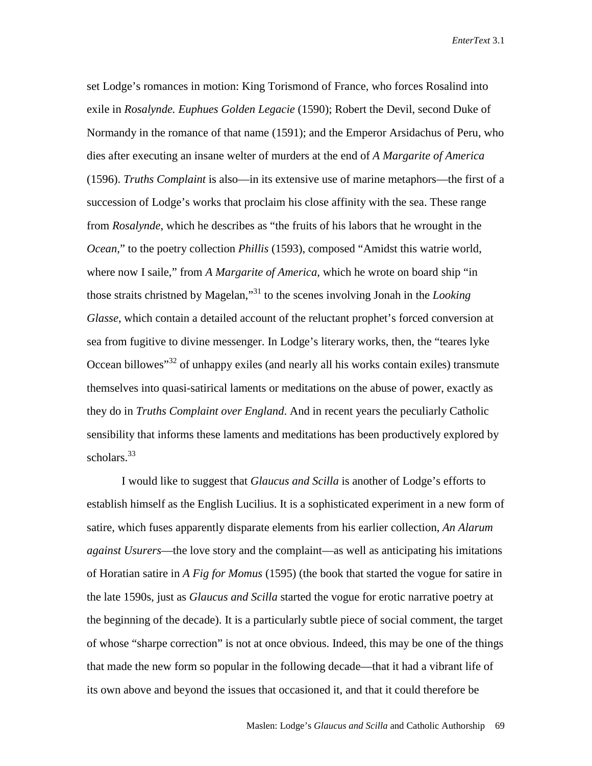set Lodge's romances in motion: King Torismond of France, who forces Rosalind into exile in *Rosalynde. Euphues Golden Legacie* (1590); Robert the Devil, second Duke of Normandy in the romance of that name (1591); and the Emperor Arsidachus of Peru, who dies after executing an insane welter of murders at the end of *A Margarite of America* (1596). *Truths Complaint* is also—in its extensive use of marine metaphors—the first of a succession of Lodge's works that proclaim his close affinity with the sea. These range from *Rosalynde*, which he describes as "the fruits of his labors that he wrought in the *Ocean,*" to the poetry collection *Phillis* (1593), composed "Amidst this watrie world, where now I saile," from *A Margarite of America*, which he wrote on board ship "in those straits christned by Magelan,"31 to the scenes involving Jonah in the *Looking Glasse*, which contain a detailed account of the reluctant prophet's forced conversion at sea from fugitive to divine messenger. In Lodge's literary works, then, the "teares lyke Occean billowes<sup>32</sup> of unhappy exiles (and nearly all his works contain exiles) transmute themselves into quasi-satirical laments or meditations on the abuse of power, exactly as they do in *Truths Complaint over England*. And in recent years the peculiarly Catholic sensibility that informs these laments and meditations has been productively explored by scholars.<sup>33</sup>

I would like to suggest that *Glaucus and Scilla* is another of Lodge's efforts to establish himself as the English Lucilius. It is a sophisticated experiment in a new form of satire, which fuses apparently disparate elements from his earlier collection, *An Alarum against Usurers*—the love story and the complaint—as well as anticipating his imitations of Horatian satire in *A Fig for Momus* (1595) (the book that started the vogue for satire in the late 1590s, just as *Glaucus and Scilla* started the vogue for erotic narrative poetry at the beginning of the decade). It is a particularly subtle piece of social comment, the target of whose "sharpe correction" is not at once obvious. Indeed, this may be one of the things that made the new form so popular in the following decade—that it had a vibrant life of its own above and beyond the issues that occasioned it, and that it could therefore be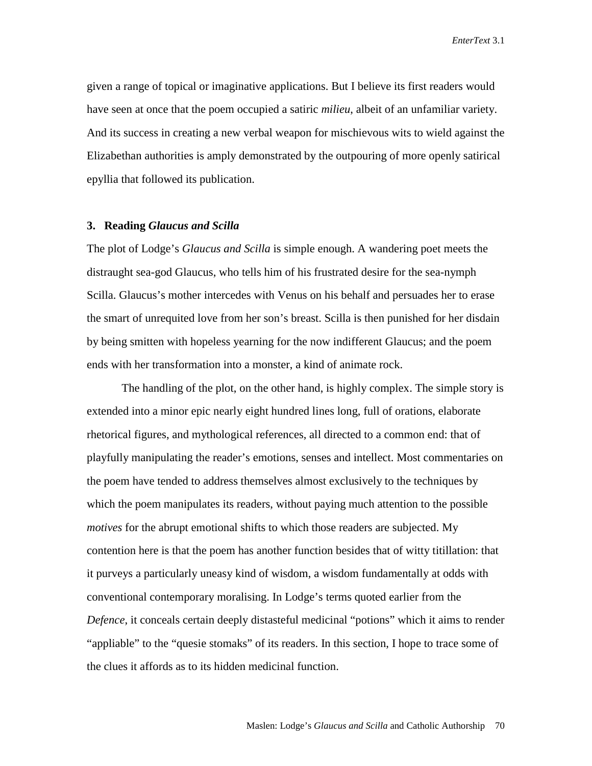given a range of topical or imaginative applications. But I believe its first readers would have seen at once that the poem occupied a satiric *milieu*, albeit of an unfamiliar variety. And its success in creating a new verbal weapon for mischievous wits to wield against the Elizabethan authorities is amply demonstrated by the outpouring of more openly satirical epyllia that followed its publication.

#### **3. Reading** *Glaucus and Scilla*

The plot of Lodge's *Glaucus and Scilla* is simple enough. A wandering poet meets the distraught sea-god Glaucus, who tells him of his frustrated desire for the sea-nymph Scilla. Glaucus's mother intercedes with Venus on his behalf and persuades her to erase the smart of unrequited love from her son's breast. Scilla is then punished for her disdain by being smitten with hopeless yearning for the now indifferent Glaucus; and the poem ends with her transformation into a monster, a kind of animate rock.

The handling of the plot, on the other hand, is highly complex. The simple story is extended into a minor epic nearly eight hundred lines long, full of orations, elaborate rhetorical figures, and mythological references, all directed to a common end: that of playfully manipulating the reader's emotions, senses and intellect. Most commentaries on the poem have tended to address themselves almost exclusively to the techniques by which the poem manipulates its readers, without paying much attention to the possible *motives* for the abrupt emotional shifts to which those readers are subjected. My contention here is that the poem has another function besides that of witty titillation: that it purveys a particularly uneasy kind of wisdom, a wisdom fundamentally at odds with conventional contemporary moralising. In Lodge's terms quoted earlier from the *Defence*, it conceals certain deeply distasteful medicinal "potions" which it aims to render "appliable" to the "quesie stomaks" of its readers. In this section, I hope to trace some of the clues it affords as to its hidden medicinal function.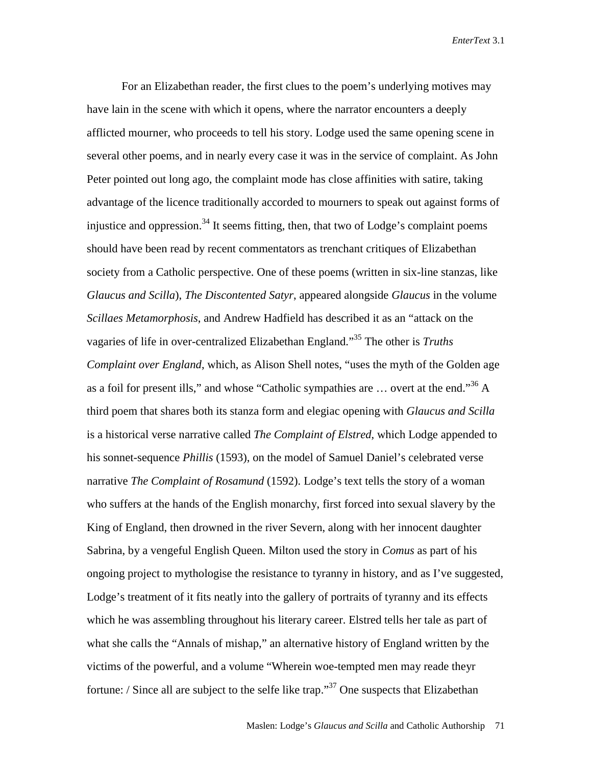For an Elizabethan reader, the first clues to the poem's underlying motives may have lain in the scene with which it opens, where the narrator encounters a deeply afflicted mourner, who proceeds to tell his story. Lodge used the same opening scene in several other poems, and in nearly every case it was in the service of complaint. As John Peter pointed out long ago, the complaint mode has close affinities with satire, taking advantage of the licence traditionally accorded to mourners to speak out against forms of injustice and oppression.<sup>34</sup> It seems fitting, then, that two of Lodge's complaint poems should have been read by recent commentators as trenchant critiques of Elizabethan society from a Catholic perspective. One of these poems (written in six-line stanzas, like *Glaucus and Scilla*), *The Discontented Satyr*, appeared alongside *Glaucus* in the volume *Scillaes Metamorphosis*, and Andrew Hadfield has described it as an "attack on the vagaries of life in over-centralized Elizabethan England."35 The other is *Truths Complaint over England*, which, as Alison Shell notes, "uses the myth of the Golden age as a foil for present ills," and whose "Catholic sympathies are … overt at the end."36 A third poem that shares both its stanza form and elegiac opening with *Glaucus and Scilla*  is a historical verse narrative called *The Complaint of Elstred*, which Lodge appended to his sonnet-sequence *Phillis* (1593), on the model of Samuel Daniel's celebrated verse narrative *The Complaint of Rosamund* (1592). Lodge's text tells the story of a woman who suffers at the hands of the English monarchy, first forced into sexual slavery by the King of England, then drowned in the river Severn, along with her innocent daughter Sabrina, by a vengeful English Queen. Milton used the story in *Comus* as part of his ongoing project to mythologise the resistance to tyranny in history, and as I've suggested, Lodge's treatment of it fits neatly into the gallery of portraits of tyranny and its effects which he was assembling throughout his literary career. Elstred tells her tale as part of what she calls the "Annals of mishap," an alternative history of England written by the victims of the powerful, and a volume "Wherein woe-tempted men may reade theyr fortune: / Since all are subject to the selfe like trap."<sup>37</sup> One suspects that Elizabethan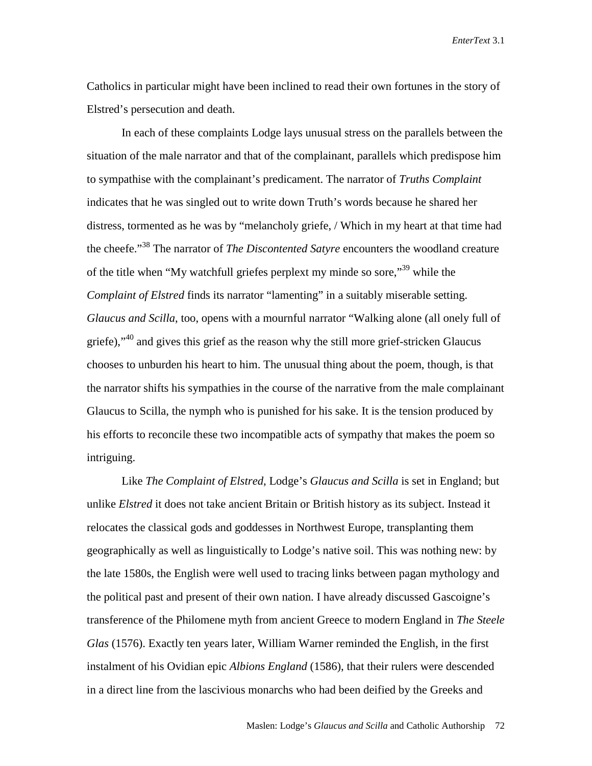Catholics in particular might have been inclined to read their own fortunes in the story of Elstred's persecution and death.

In each of these complaints Lodge lays unusual stress on the parallels between the situation of the male narrator and that of the complainant, parallels which predispose him to sympathise with the complainant's predicament. The narrator of *Truths Complaint* indicates that he was singled out to write down Truth's words because he shared her distress, tormented as he was by "melancholy griefe, / Which in my heart at that time had the cheefe."38 The narrator of *The Discontented Satyre* encounters the woodland creature of the title when "My watchfull griefes perplext my minde so sore,"39 while the *Complaint of Elstred* finds its narrator "lamenting" in a suitably miserable setting. *Glaucus and Scilla*, too, opens with a mournful narrator "Walking alone (all onely full of griefe),"<sup>40</sup> and gives this grief as the reason why the still more grief-stricken Glaucus chooses to unburden his heart to him. The unusual thing about the poem, though, is that the narrator shifts his sympathies in the course of the narrative from the male complainant Glaucus to Scilla, the nymph who is punished for his sake. It is the tension produced by his efforts to reconcile these two incompatible acts of sympathy that makes the poem so intriguing.

Like *The Complaint of Elstred*, Lodge's *Glaucus and Scilla* is set in England; but unlike *Elstred* it does not take ancient Britain or British history as its subject. Instead it relocates the classical gods and goddesses in Northwest Europe, transplanting them geographically as well as linguistically to Lodge's native soil. This was nothing new: by the late 1580s, the English were well used to tracing links between pagan mythology and the political past and present of their own nation. I have already discussed Gascoigne's transference of the Philomene myth from ancient Greece to modern England in *The Steele Glas* (1576). Exactly ten years later, William Warner reminded the English, in the first instalment of his Ovidian epic *Albions England* (1586), that their rulers were descended in a direct line from the lascivious monarchs who had been deified by the Greeks and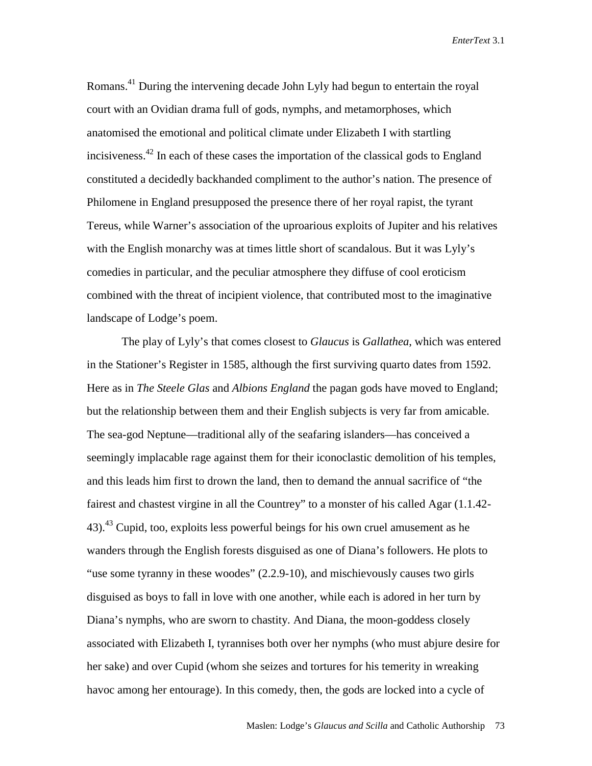Romans.<sup>41</sup> During the intervening decade John Lyly had begun to entertain the royal court with an Ovidian drama full of gods, nymphs, and metamorphoses, which anatomised the emotional and political climate under Elizabeth I with startling incisiveness.42 In each of these cases the importation of the classical gods to England constituted a decidedly backhanded compliment to the author's nation. The presence of Philomene in England presupposed the presence there of her royal rapist, the tyrant Tereus, while Warner's association of the uproarious exploits of Jupiter and his relatives with the English monarchy was at times little short of scandalous. But it was Lyly's comedies in particular, and the peculiar atmosphere they diffuse of cool eroticism combined with the threat of incipient violence, that contributed most to the imaginative landscape of Lodge's poem.

The play of Lyly's that comes closest to *Glaucus* is *Gallathea*, which was entered in the Stationer's Register in 1585, although the first surviving quarto dates from 1592. Here as in *The Steele Glas* and *Albions England* the pagan gods have moved to England; but the relationship between them and their English subjects is very far from amicable. The sea-god Neptune—traditional ally of the seafaring islanders—has conceived a seemingly implacable rage against them for their iconoclastic demolition of his temples, and this leads him first to drown the land, then to demand the annual sacrifice of "the fairest and chastest virgine in all the Countrey" to a monster of his called Agar (1.1.42-  $43$ ).<sup>43</sup> Cupid, too, exploits less powerful beings for his own cruel amusement as he wanders through the English forests disguised as one of Diana's followers. He plots to "use some tyranny in these woodes" (2.2.9-10), and mischievously causes two girls disguised as boys to fall in love with one another, while each is adored in her turn by Diana's nymphs, who are sworn to chastity. And Diana, the moon-goddess closely associated with Elizabeth I, tyrannises both over her nymphs (who must abjure desire for her sake) and over Cupid (whom she seizes and tortures for his temerity in wreaking havoc among her entourage). In this comedy, then, the gods are locked into a cycle of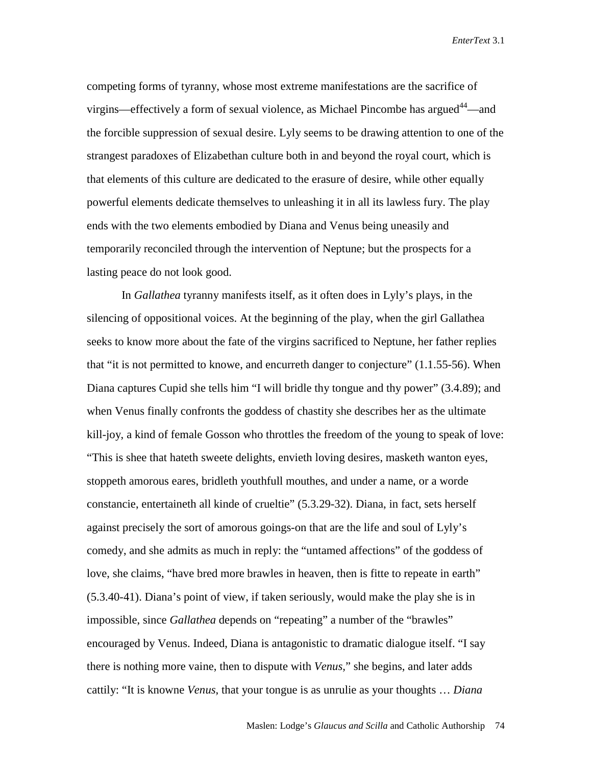competing forms of tyranny, whose most extreme manifestations are the sacrifice of virgins—effectively a form of sexual violence, as Michael Pincombe has argued<sup>44</sup>—and the forcible suppression of sexual desire. Lyly seems to be drawing attention to one of the strangest paradoxes of Elizabethan culture both in and beyond the royal court, which is that elements of this culture are dedicated to the erasure of desire, while other equally powerful elements dedicate themselves to unleashing it in all its lawless fury. The play ends with the two elements embodied by Diana and Venus being uneasily and temporarily reconciled through the intervention of Neptune; but the prospects for a lasting peace do not look good.

In *Gallathea* tyranny manifests itself, as it often does in Lyly's plays, in the silencing of oppositional voices. At the beginning of the play, when the girl Gallathea seeks to know more about the fate of the virgins sacrificed to Neptune, her father replies that "it is not permitted to knowe, and encurreth danger to conjecture"  $(1.1.55-56)$ . When Diana captures Cupid she tells him "I will bridle thy tongue and thy power" (3.4.89); and when Venus finally confronts the goddess of chastity she describes her as the ultimate kill-joy, a kind of female Gosson who throttles the freedom of the young to speak of love: "This is shee that hateth sweete delights, envieth loving desires, masketh wanton eyes, stoppeth amorous eares, bridleth youthfull mouthes, and under a name, or a worde constancie, entertaineth all kinde of crueltie" (5.3.29-32). Diana, in fact, sets herself against precisely the sort of amorous goings-on that are the life and soul of Lyly's comedy, and she admits as much in reply: the "untamed affections" of the goddess of love, she claims, "have bred more brawles in heaven, then is fitte to repeate in earth" (5.3.40-41). Diana's point of view, if taken seriously, would make the play she is in impossible, since *Gallathea* depends on "repeating" a number of the "brawles" encouraged by Venus. Indeed, Diana is antagonistic to dramatic dialogue itself. "I say there is nothing more vaine, then to dispute with *Venus,*" she begins, and later adds cattily: "It is knowne *Venus*, that your tongue is as unrulie as your thoughts … *Diana*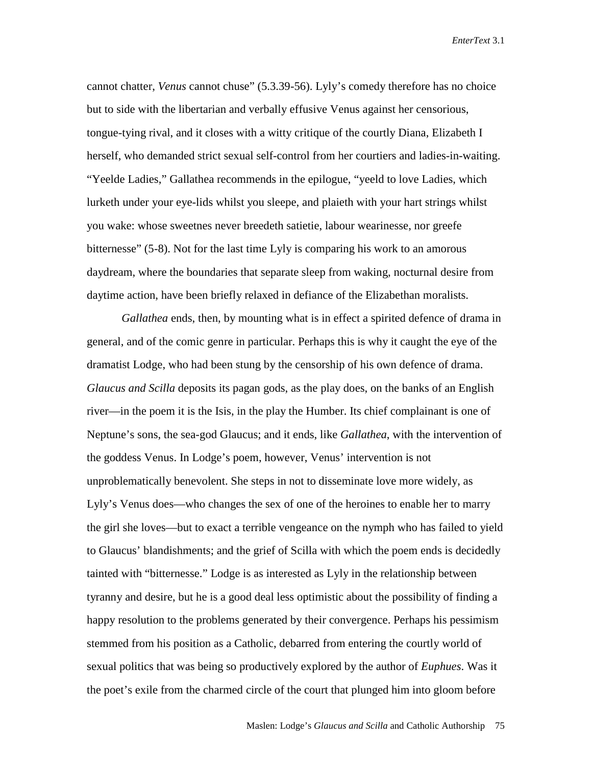cannot chatter, *Venus* cannot chuse" (5.3.39-56). Lyly's comedy therefore has no choice but to side with the libertarian and verbally effusive Venus against her censorious, tongue-tying rival, and it closes with a witty critique of the courtly Diana, Elizabeth I herself, who demanded strict sexual self-control from her courtiers and ladies-in-waiting. "Yeelde Ladies," Gallathea recommends in the epilogue, "yeeld to love Ladies, which lurketh under your eye-lids whilst you sleepe, and plaieth with your hart strings whilst you wake: whose sweetnes never breedeth satietie, labour wearinesse, nor greefe bitternesse" (5-8). Not for the last time Lyly is comparing his work to an amorous daydream, where the boundaries that separate sleep from waking, nocturnal desire from daytime action, have been briefly relaxed in defiance of the Elizabethan moralists.

*Gallathea* ends, then, by mounting what is in effect a spirited defence of drama in general, and of the comic genre in particular. Perhaps this is why it caught the eye of the dramatist Lodge, who had been stung by the censorship of his own defence of drama. *Glaucus and Scilla* deposits its pagan gods, as the play does, on the banks of an English river—in the poem it is the Isis, in the play the Humber. Its chief complainant is one of Neptune's sons, the sea-god Glaucus; and it ends, like *Gallathea*, with the intervention of the goddess Venus. In Lodge's poem, however, Venus' intervention is not unproblematically benevolent. She steps in not to disseminate love more widely, as Lyly's Venus does—who changes the sex of one of the heroines to enable her to marry the girl she loves—but to exact a terrible vengeance on the nymph who has failed to yield to Glaucus' blandishments; and the grief of Scilla with which the poem ends is decidedly tainted with "bitternesse." Lodge is as interested as Lyly in the relationship between tyranny and desire, but he is a good deal less optimistic about the possibility of finding a happy resolution to the problems generated by their convergence. Perhaps his pessimism stemmed from his position as a Catholic, debarred from entering the courtly world of sexual politics that was being so productively explored by the author of *Euphues*. Was it the poet's exile from the charmed circle of the court that plunged him into gloom before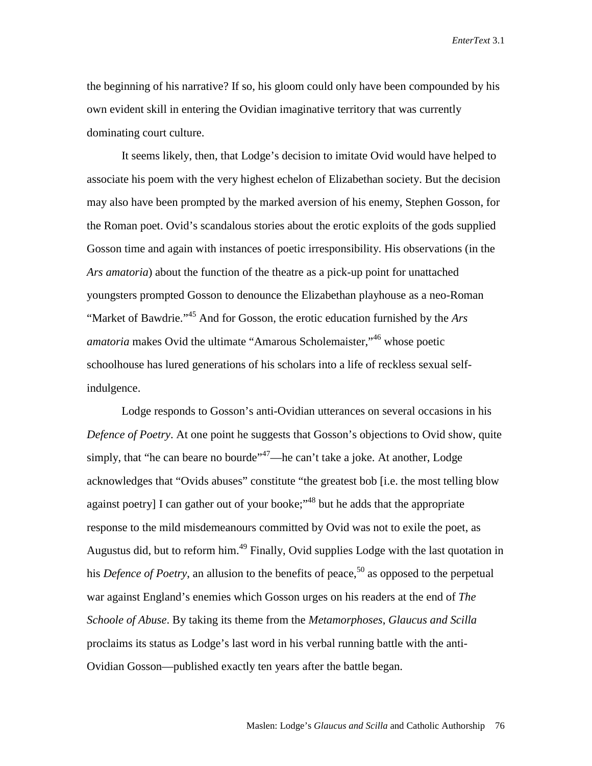the beginning of his narrative? If so, his gloom could only have been compounded by his own evident skill in entering the Ovidian imaginative territory that was currently dominating court culture.

It seems likely, then, that Lodge's decision to imitate Ovid would have helped to associate his poem with the very highest echelon of Elizabethan society. But the decision may also have been prompted by the marked aversion of his enemy, Stephen Gosson, for the Roman poet. Ovid's scandalous stories about the erotic exploits of the gods supplied Gosson time and again with instances of poetic irresponsibility. His observations (in the *Ars amatoria*) about the function of the theatre as a pick-up point for unattached youngsters prompted Gosson to denounce the Elizabethan playhouse as a neo-Roman "Market of Bawdrie."45 And for Gosson, the erotic education furnished by the *Ars amatoria* makes Ovid the ultimate "Amarous Scholemaister,"<sup>46</sup> whose poetic schoolhouse has lured generations of his scholars into a life of reckless sexual selfindulgence.

Lodge responds to Gosson's anti-Ovidian utterances on several occasions in his *Defence of Poetry*. At one point he suggests that Gosson's objections to Ovid show, quite simply, that "he can beare no bourde"<sup>47</sup>—he can't take a joke. At another, Lodge acknowledges that "Ovids abuses" constitute "the greatest bob [i.e. the most telling blow against poetry] I can gather out of your booke;<sup>48</sup> but he adds that the appropriate response to the mild misdemeanours committed by Ovid was not to exile the poet, as Augustus did, but to reform him.<sup>49</sup> Finally, Ovid supplies Lodge with the last quotation in his *Defence of Poetry*, an allusion to the benefits of peace,<sup>50</sup> as opposed to the perpetual war against England's enemies which Gosson urges on his readers at the end of *The Schoole of Abuse*. By taking its theme from the *Metamorphoses*, *Glaucus and Scilla* proclaims its status as Lodge's last word in his verbal running battle with the anti-Ovidian Gosson—published exactly ten years after the battle began.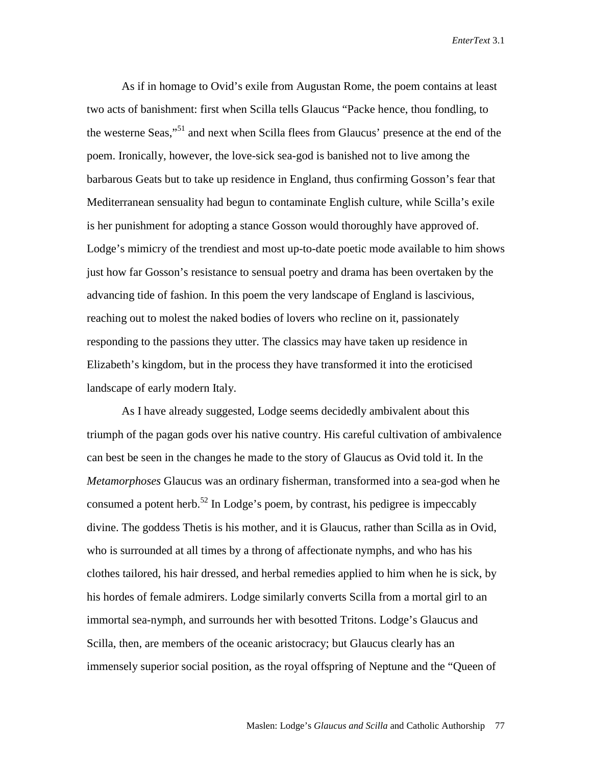As if in homage to Ovid's exile from Augustan Rome, the poem contains at least two acts of banishment: first when Scilla tells Glaucus "Packe hence, thou fondling, to the westerne Seas,"51 and next when Scilla flees from Glaucus' presence at the end of the poem. Ironically, however, the love-sick sea-god is banished not to live among the barbarous Geats but to take up residence in England, thus confirming Gosson's fear that Mediterranean sensuality had begun to contaminate English culture, while Scilla's exile is her punishment for adopting a stance Gosson would thoroughly have approved of. Lodge's mimicry of the trendiest and most up-to-date poetic mode available to him shows just how far Gosson's resistance to sensual poetry and drama has been overtaken by the advancing tide of fashion. In this poem the very landscape of England is lascivious, reaching out to molest the naked bodies of lovers who recline on it, passionately responding to the passions they utter. The classics may have taken up residence in Elizabeth's kingdom, but in the process they have transformed it into the eroticised landscape of early modern Italy.

As I have already suggested, Lodge seems decidedly ambivalent about this triumph of the pagan gods over his native country. His careful cultivation of ambivalence can best be seen in the changes he made to the story of Glaucus as Ovid told it. In the *Metamorphoses* Glaucus was an ordinary fisherman, transformed into a sea-god when he consumed a potent herb.<sup>52</sup> In Lodge's poem, by contrast, his pedigree is impeccably divine. The goddess Thetis is his mother, and it is Glaucus, rather than Scilla as in Ovid, who is surrounded at all times by a throng of affectionate nymphs, and who has his clothes tailored, his hair dressed, and herbal remedies applied to him when he is sick, by his hordes of female admirers. Lodge similarly converts Scilla from a mortal girl to an immortal sea-nymph, and surrounds her with besotted Tritons. Lodge's Glaucus and Scilla, then, are members of the oceanic aristocracy; but Glaucus clearly has an immensely superior social position, as the royal offspring of Neptune and the "Queen of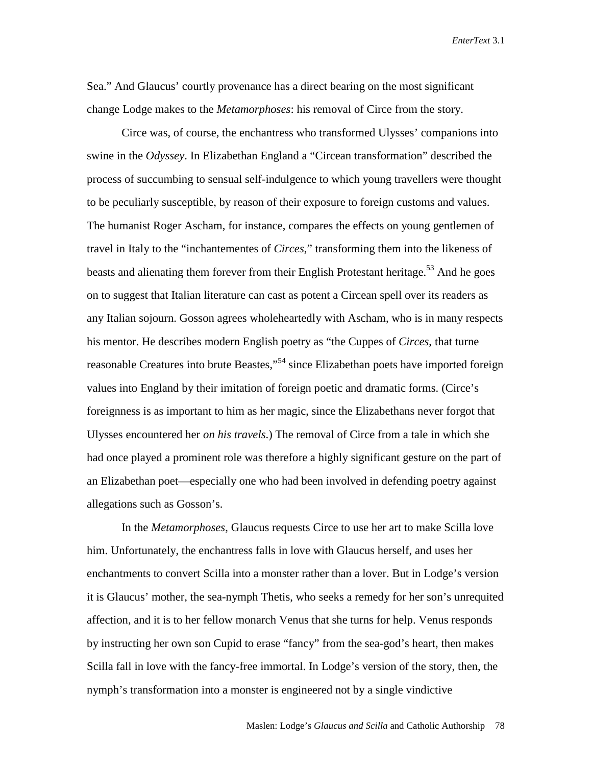Sea." And Glaucus' courtly provenance has a direct bearing on the most significant change Lodge makes to the *Metamorphoses*: his removal of Circe from the story.

Circe was, of course, the enchantress who transformed Ulysses' companions into swine in the *Odyssey*. In Elizabethan England a "Circean transformation" described the process of succumbing to sensual self-indulgence to which young travellers were thought to be peculiarly susceptible, by reason of their exposure to foreign customs and values. The humanist Roger Ascham, for instance, compares the effects on young gentlemen of travel in Italy to the "inchantementes of *Circes*," transforming them into the likeness of beasts and alienating them forever from their English Protestant heritage.<sup>53</sup> And he goes on to suggest that Italian literature can cast as potent a Circean spell over its readers as any Italian sojourn. Gosson agrees wholeheartedly with Ascham, who is in many respects his mentor. He describes modern English poetry as "the Cuppes of *Circes*, that turne reasonable Creatures into brute Beastes,"<sup>54</sup> since Elizabethan poets have imported foreign values into England by their imitation of foreign poetic and dramatic forms. (Circe's foreignness is as important to him as her magic, since the Elizabethans never forgot that Ulysses encountered her *on his travels*.) The removal of Circe from a tale in which she had once played a prominent role was therefore a highly significant gesture on the part of an Elizabethan poet—especially one who had been involved in defending poetry against allegations such as Gosson's.

In the *Metamorphoses*, Glaucus requests Circe to use her art to make Scilla love him. Unfortunately, the enchantress falls in love with Glaucus herself, and uses her enchantments to convert Scilla into a monster rather than a lover. But in Lodge's version it is Glaucus' mother, the sea-nymph Thetis, who seeks a remedy for her son's unrequited affection, and it is to her fellow monarch Venus that she turns for help. Venus responds by instructing her own son Cupid to erase "fancy" from the sea-god's heart, then makes Scilla fall in love with the fancy-free immortal. In Lodge's version of the story, then, the nymph's transformation into a monster is engineered not by a single vindictive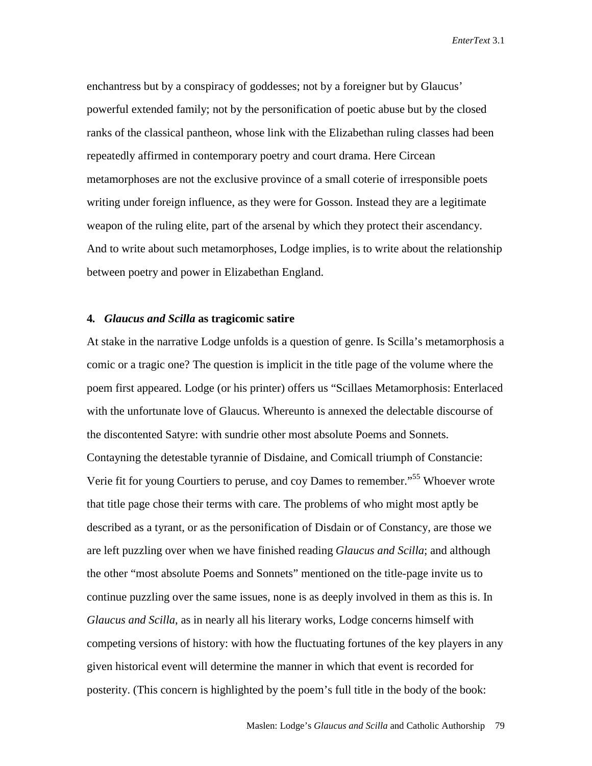enchantress but by a conspiracy of goddesses; not by a foreigner but by Glaucus' powerful extended family; not by the personification of poetic abuse but by the closed ranks of the classical pantheon, whose link with the Elizabethan ruling classes had been repeatedly affirmed in contemporary poetry and court drama. Here Circean metamorphoses are not the exclusive province of a small coterie of irresponsible poets writing under foreign influence, as they were for Gosson. Instead they are a legitimate weapon of the ruling elite, part of the arsenal by which they protect their ascendancy. And to write about such metamorphoses, Lodge implies, is to write about the relationship between poetry and power in Elizabethan England.

### **4***. Glaucus and Scilla* **as tragicomic satire**

At stake in the narrative Lodge unfolds is a question of genre. Is Scilla's metamorphosis a comic or a tragic one? The question is implicit in the title page of the volume where the poem first appeared. Lodge (or his printer) offers us "Scillaes Metamorphosis: Enterlaced with the unfortunate love of Glaucus. Whereunto is annexed the delectable discourse of the discontented Satyre: with sundrie other most absolute Poems and Sonnets. Contayning the detestable tyrannie of Disdaine, and Comicall triumph of Constancie: Verie fit for young Courtiers to peruse, and coy Dames to remember."55 Whoever wrote that title page chose their terms with care. The problems of who might most aptly be described as a tyrant, or as the personification of Disdain or of Constancy, are those we are left puzzling over when we have finished reading *Glaucus and Scilla*; and although the other "most absolute Poems and Sonnets" mentioned on the title-page invite us to continue puzzling over the same issues, none is as deeply involved in them as this is. In *Glaucus and Scilla*, as in nearly all his literary works, Lodge concerns himself with competing versions of history: with how the fluctuating fortunes of the key players in any given historical event will determine the manner in which that event is recorded for posterity. (This concern is highlighted by the poem's full title in the body of the book: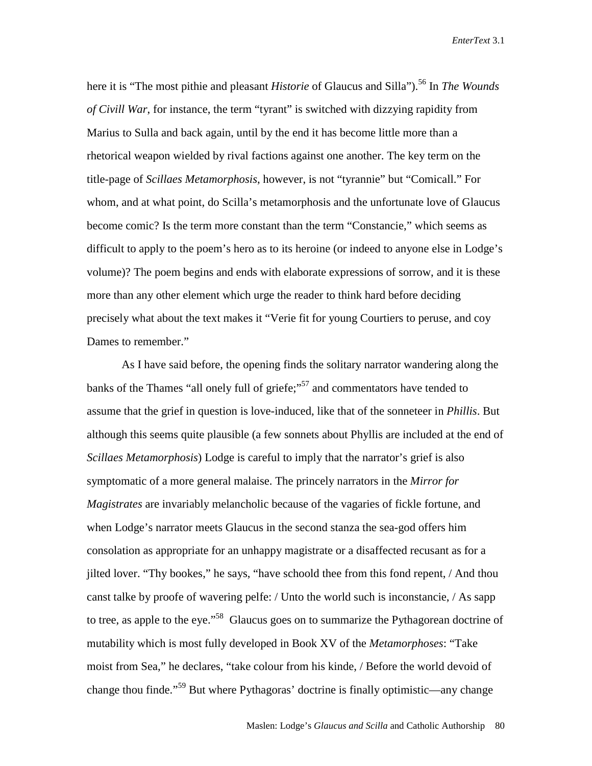here it is "The most pithie and pleasant *Historie* of Glaucus and Silla").<sup>56</sup> In *The Wounds of Civill War*, for instance, the term "tyrant" is switched with dizzying rapidity from Marius to Sulla and back again, until by the end it has become little more than a rhetorical weapon wielded by rival factions against one another. The key term on the title-page of *Scillaes Metamorphosis*, however, is not "tyrannie" but "Comicall." For whom, and at what point, do Scilla's metamorphosis and the unfortunate love of Glaucus become comic? Is the term more constant than the term "Constancie," which seems as difficult to apply to the poem's hero as to its heroine (or indeed to anyone else in Lodge's volume)? The poem begins and ends with elaborate expressions of sorrow, and it is these more than any other element which urge the reader to think hard before deciding precisely what about the text makes it "Verie fit for young Courtiers to peruse, and coy Dames to remember."

As I have said before, the opening finds the solitary narrator wandering along the banks of the Thames "all onely full of griefe;"<sup>57</sup> and commentators have tended to assume that the grief in question is love-induced, like that of the sonneteer in *Phillis*. But although this seems quite plausible (a few sonnets about Phyllis are included at the end of *Scillaes Metamorphosis*) Lodge is careful to imply that the narrator's grief is also symptomatic of a more general malaise. The princely narrators in the *Mirror for Magistrates* are invariably melancholic because of the vagaries of fickle fortune, and when Lodge's narrator meets Glaucus in the second stanza the sea-god offers him consolation as appropriate for an unhappy magistrate or a disaffected recusant as for a jilted lover. "Thy bookes," he says, "have schoold thee from this fond repent, / And thou canst talke by proofe of wavering pelfe: / Unto the world such is inconstancie, / As sapp to tree, as apple to the eye."<sup>58</sup> Glaucus goes on to summarize the Pythagorean doctrine of mutability which is most fully developed in Book XV of the *Metamorphoses*: "Take moist from Sea," he declares, "take colour from his kinde, / Before the world devoid of change thou finde."59 But where Pythagoras' doctrine is finally optimistic—any change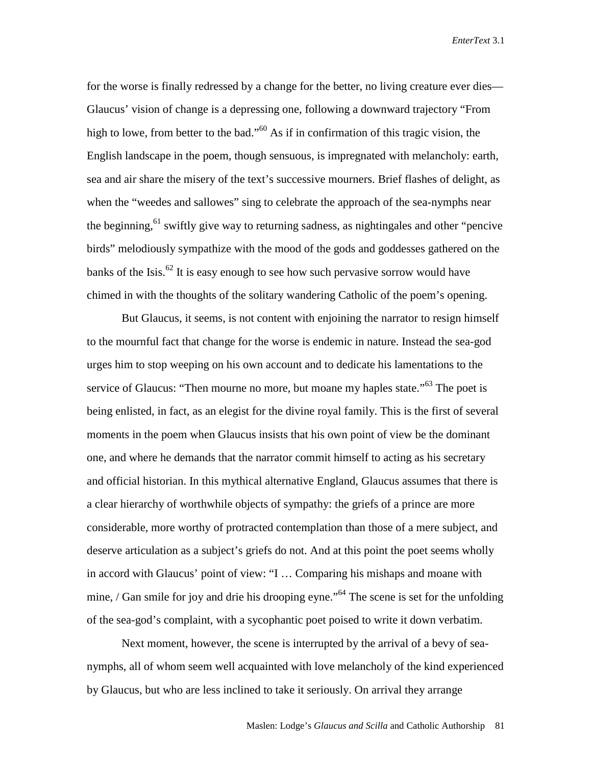for the worse is finally redressed by a change for the better, no living creature ever dies— Glaucus' vision of change is a depressing one, following a downward trajectory "From high to lowe, from better to the bad."<sup>60</sup> As if in confirmation of this tragic vision, the English landscape in the poem, though sensuous, is impregnated with melancholy: earth, sea and air share the misery of the text's successive mourners. Brief flashes of delight, as when the "weedes and sallowes" sing to celebrate the approach of the sea-nymphs near the beginning,<sup>61</sup> swiftly give way to returning sadness, as nightingales and other "pencive birds" melodiously sympathize with the mood of the gods and goddesses gathered on the banks of the Isis. $62$  It is easy enough to see how such pervasive sorrow would have chimed in with the thoughts of the solitary wandering Catholic of the poem's opening.

But Glaucus, it seems, is not content with enjoining the narrator to resign himself to the mournful fact that change for the worse is endemic in nature. Instead the sea-god urges him to stop weeping on his own account and to dedicate his lamentations to the service of Glaucus: "Then mourne no more, but moane my haples state."<sup>63</sup> The poet is being enlisted, in fact, as an elegist for the divine royal family. This is the first of several moments in the poem when Glaucus insists that his own point of view be the dominant one, and where he demands that the narrator commit himself to acting as his secretary and official historian. In this mythical alternative England, Glaucus assumes that there is a clear hierarchy of worthwhile objects of sympathy: the griefs of a prince are more considerable, more worthy of protracted contemplation than those of a mere subject, and deserve articulation as a subject's griefs do not. And at this point the poet seems wholly in accord with Glaucus' point of view: "I … Comparing his mishaps and moane with mine, / Gan smile for joy and drie his drooping eyne."<sup>64</sup> The scene is set for the unfolding of the sea-god's complaint, with a sycophantic poet poised to write it down verbatim.

Next moment, however, the scene is interrupted by the arrival of a bevy of seanymphs, all of whom seem well acquainted with love melancholy of the kind experienced by Glaucus, but who are less inclined to take it seriously. On arrival they arrange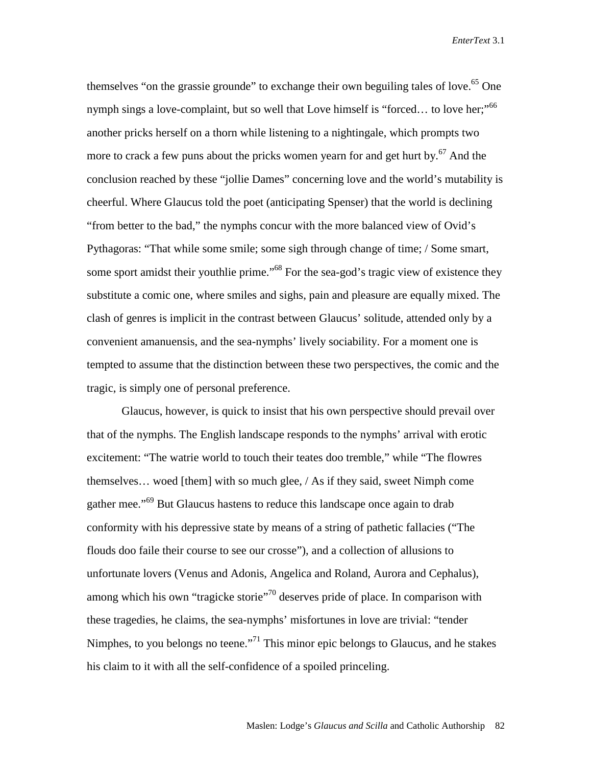themselves "on the grassie grounde" to exchange their own beguiling tales of love.<sup>65</sup> One nymph sings a love-complaint, but so well that Love himself is "forced... to love her;"<sup>66</sup> another pricks herself on a thorn while listening to a nightingale, which prompts two more to crack a few puns about the pricks women yearn for and get hurt by.<sup>67</sup> And the conclusion reached by these "jollie Dames" concerning love and the world's mutability is cheerful. Where Glaucus told the poet (anticipating Spenser) that the world is declining "from better to the bad," the nymphs concur with the more balanced view of Ovid's Pythagoras: "That while some smile; some sigh through change of time; / Some smart, some sport amidst their youthlie prime.<sup>568</sup> For the sea-god's tragic view of existence they substitute a comic one, where smiles and sighs, pain and pleasure are equally mixed. The clash of genres is implicit in the contrast between Glaucus' solitude, attended only by a convenient amanuensis, and the sea-nymphs' lively sociability. For a moment one is tempted to assume that the distinction between these two perspectives, the comic and the tragic, is simply one of personal preference.

Glaucus, however, is quick to insist that his own perspective should prevail over that of the nymphs. The English landscape responds to the nymphs' arrival with erotic excitement: "The watrie world to touch their teates doo tremble," while "The flowres themselves... woed [them] with so much glee,  $/$  As if they said, sweet Nimph come gather mee."69 But Glaucus hastens to reduce this landscape once again to drab conformity with his depressive state by means of a string of pathetic fallacies ("The flouds doo faile their course to see our crosse"), and a collection of allusions to unfortunate lovers (Venus and Adonis, Angelica and Roland, Aurora and Cephalus), among which his own "tragicke storie"<sup>70</sup> deserves pride of place. In comparison with these tragedies, he claims, the sea-nymphs' misfortunes in love are trivial: "tender Nimphes, to you belongs no teene."<sup>71</sup> This minor epic belongs to Glaucus, and he stakes his claim to it with all the self-confidence of a spoiled princeling.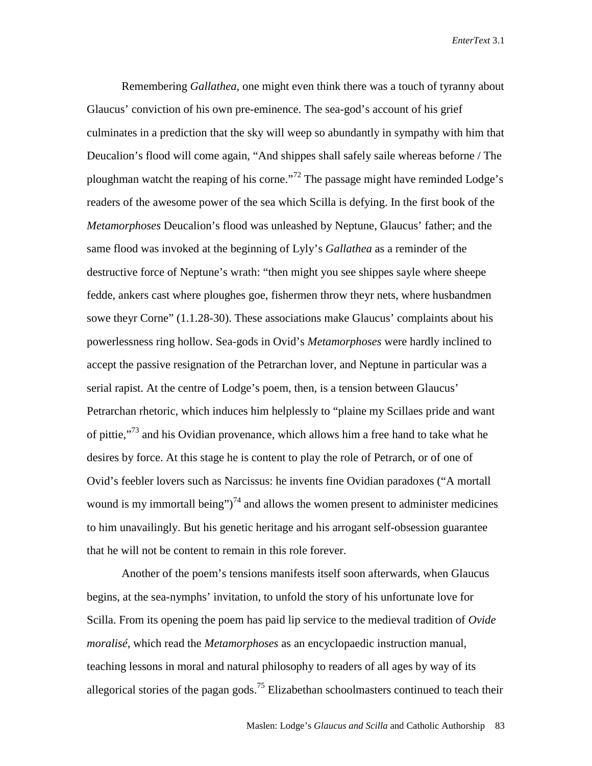Remembering *Gallathea*, one might even think there was a touch of tyranny about Glaucus' conviction of his own pre-eminence. The sea-god's account of his grief culminates in a prediction that the sky will weep so abundantly in sympathy with him that Deucalion's flood will come again, "And shippes shall safely saile whereas beforne / The ploughman watcht the reaping of his corne."<sup>72</sup> The passage might have reminded Lodge's readers of the awesome power of the sea which Scilla is defying. In the first book of the *Metamorphoses* Deucalion's flood was unleashed by Neptune, Glaucus' father; and the same flood was invoked at the beginning of Lyly's *Gallathea* as a reminder of the destructive force of Neptune's wrath: "then might you see shippes sayle where sheepe fedde, ankers cast where ploughes goe, fishermen throw theyr nets, where husbandmen sowe theyr Corne" (1.1.28-30). These associations make Glaucus' complaints about his powerlessness ring hollow. Sea-gods in Ovid's *Metamorphoses* were hardly inclined to accept the passive resignation of the Petrarchan lover, and Neptune in particular was a serial rapist. At the centre of Lodge's poem, then, is a tension between Glaucus' Petrarchan rhetoric, which induces him helplessly to "plaine my Scillaes pride and want of pittie,"<sup>73</sup> and his Ovidian provenance, which allows him a free hand to take what he desires by force. At this stage he is content to play the role of Petrarch, or of one of Ovid's feebler lovers such as Narcissus: he invents fine Ovidian paradoxes ("A mortall wound is my immortall being")<sup>74</sup> and allows the women present to administer medicines to him unavailingly. But his genetic heritage and his arrogant self-obsession guarantee that he will not be content to remain in this role forever.

Another of the poem's tensions manifests itself soon afterwards, when Glaucus begins, at the sea-nymphs' invitation, to unfold the story of his unfortunate love for Scilla. From its opening the poem has paid lip service to the medieval tradition of *Ovide moralisé*, which read the *Metamorphoses* as an encyclopaedic instruction manual, teaching lessons in moral and natural philosophy to readers of all ages by way of its allegorical stories of the pagan gods.<sup>75</sup> Elizabethan schoolmasters continued to teach their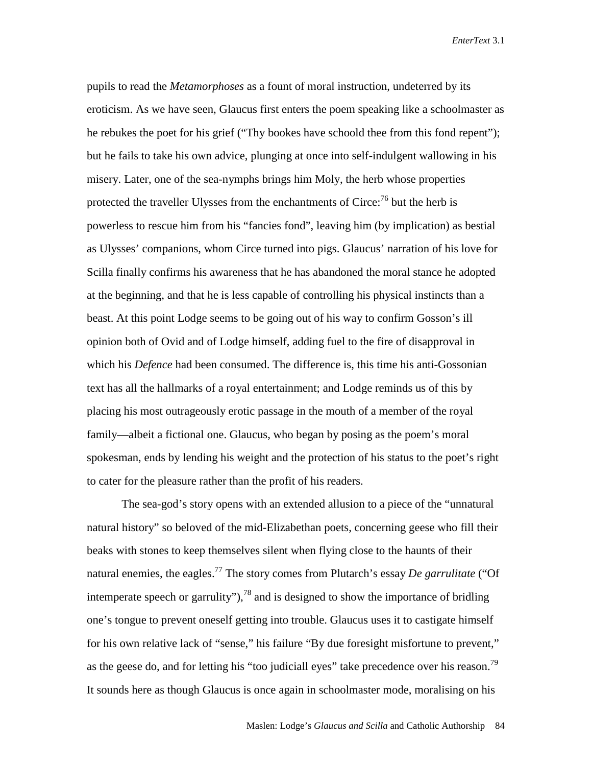pupils to read the *Metamorphoses* as a fount of moral instruction, undeterred by its eroticism. As we have seen, Glaucus first enters the poem speaking like a schoolmaster as he rebukes the poet for his grief ("Thy bookes have schoold thee from this fond repent"); but he fails to take his own advice, plunging at once into self-indulgent wallowing in his misery. Later, one of the sea-nymphs brings him Moly, the herb whose properties protected the traveller Ulysses from the enchantments of Circe:<sup>76</sup> but the herb is powerless to rescue him from his "fancies fond", leaving him (by implication) as bestial as Ulysses' companions, whom Circe turned into pigs. Glaucus' narration of his love for Scilla finally confirms his awareness that he has abandoned the moral stance he adopted at the beginning, and that he is less capable of controlling his physical instincts than a beast. At this point Lodge seems to be going out of his way to confirm Gosson's ill opinion both of Ovid and of Lodge himself, adding fuel to the fire of disapproval in which his *Defence* had been consumed. The difference is, this time his anti-Gossonian text has all the hallmarks of a royal entertainment; and Lodge reminds us of this by placing his most outrageously erotic passage in the mouth of a member of the royal family—albeit a fictional one. Glaucus, who began by posing as the poem's moral spokesman, ends by lending his weight and the protection of his status to the poet's right to cater for the pleasure rather than the profit of his readers.

The sea-god's story opens with an extended allusion to a piece of the "unnatural natural history" so beloved of the mid-Elizabethan poets, concerning geese who fill their beaks with stones to keep themselves silent when flying close to the haunts of their natural enemies, the eagles.<sup>77</sup> The story comes from Plutarch's essay *De garrulitate* ("Of intemperate speech or garrulity"),  $^{78}$  and is designed to show the importance of bridling one's tongue to prevent oneself getting into trouble. Glaucus uses it to castigate himself for his own relative lack of "sense," his failure "By due foresight misfortune to prevent," as the geese do, and for letting his "too judiciall eyes" take precedence over his reason.<sup>79</sup> It sounds here as though Glaucus is once again in schoolmaster mode, moralising on his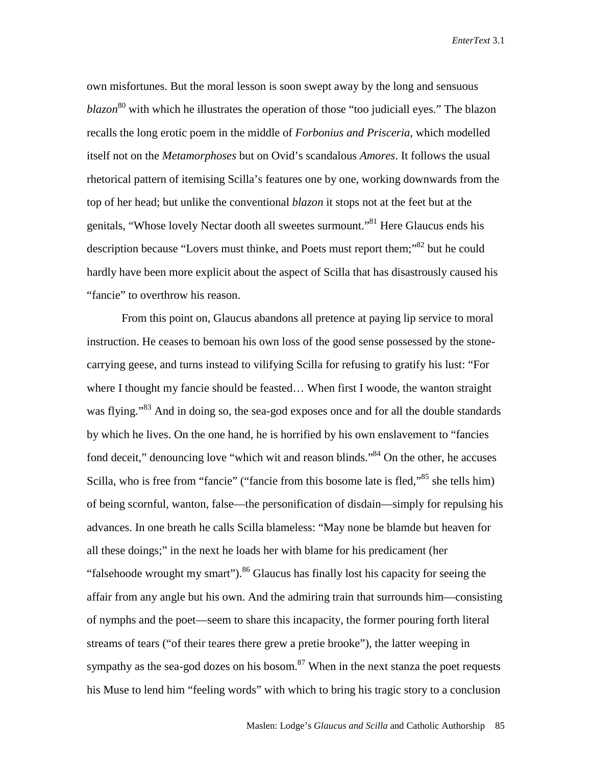own misfortunes. But the moral lesson is soon swept away by the long and sensuous *blazon*<sup>80</sup> with which he illustrates the operation of those "too judiciall eyes." The blazon recalls the long erotic poem in the middle of *Forbonius and Prisceria*, which modelled itself not on the *Metamorphoses* but on Ovid's scandalous *Amores*. It follows the usual rhetorical pattern of itemising Scilla's features one by one, working downwards from the top of her head; but unlike the conventional *blazon* it stops not at the feet but at the genitals, "Whose lovely Nectar dooth all sweetes surmount."<sup>81</sup> Here Glaucus ends his description because "Lovers must thinke, and Poets must report them;"<sup>82</sup> but he could hardly have been more explicit about the aspect of Scilla that has disastrously caused his "fancie" to overthrow his reason.

From this point on, Glaucus abandons all pretence at paying lip service to moral instruction. He ceases to bemoan his own loss of the good sense possessed by the stonecarrying geese, and turns instead to vilifying Scilla for refusing to gratify his lust: "For where I thought my fancie should be feasted... When first I woode, the wanton straight was flying."<sup>83</sup> And in doing so, the sea-god exposes once and for all the double standards by which he lives. On the one hand, he is horrified by his own enslavement to "fancies fond deceit," denouncing love "which wit and reason blinds."<sup>84</sup> On the other, he accuses Scilla, who is free from "fancie" ("fancie from this bosome late is fled,"<sup>85</sup> she tells him) of being scornful, wanton, false—the personification of disdain—simply for repulsing his advances. In one breath he calls Scilla blameless: "May none be blamde but heaven for all these doings;" in the next he loads her with blame for his predicament (her "falsehoode wrought my smart").<sup>86</sup> Glaucus has finally lost his capacity for seeing the affair from any angle but his own. And the admiring train that surrounds him—consisting of nymphs and the poet—seem to share this incapacity, the former pouring forth literal streams of tears ("of their teares there grew a pretie brooke"), the latter weeping in sympathy as the sea-god dozes on his bosom.<sup>87</sup> When in the next stanza the poet requests his Muse to lend him "feeling words" with which to bring his tragic story to a conclusion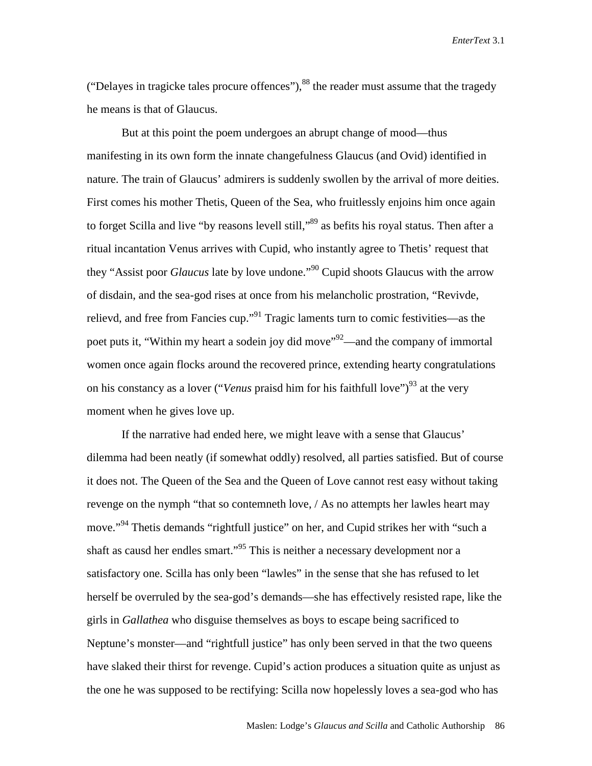("Delayes in tragicke tales procure offences"), $^{88}$  the reader must assume that the tragedy he means is that of Glaucus.

But at this point the poem undergoes an abrupt change of mood—thus manifesting in its own form the innate changefulness Glaucus (and Ovid) identified in nature. The train of Glaucus' admirers is suddenly swollen by the arrival of more deities. First comes his mother Thetis, Queen of the Sea, who fruitlessly enjoins him once again to forget Scilla and live "by reasons levell still,"<sup>89</sup> as befits his royal status. Then after a ritual incantation Venus arrives with Cupid, who instantly agree to Thetis' request that they "Assist poor *Glaucus* late by love undone."90 Cupid shoots Glaucus with the arrow of disdain, and the sea-god rises at once from his melancholic prostration, "Revivde, relievd, and free from Fancies cup."91 Tragic laments turn to comic festivities—as the poet puts it, "Within my heart a sodein joy did move"<sup>92</sup>—and the company of immortal women once again flocks around the recovered prince, extending hearty congratulations on his constancy as a lover ("*Venus* praisd him for his faithfull love")<sup>93</sup> at the very moment when he gives love up.

If the narrative had ended here, we might leave with a sense that Glaucus' dilemma had been neatly (if somewhat oddly) resolved, all parties satisfied. But of course it does not. The Queen of the Sea and the Queen of Love cannot rest easy without taking revenge on the nymph "that so contemneth love, / As no attempts her lawles heart may move."<sup>94</sup> Thetis demands "rightfull justice" on her, and Cupid strikes her with "such a shaft as causd her endles smart."<sup>95</sup> This is neither a necessary development nor a satisfactory one. Scilla has only been "lawles" in the sense that she has refused to let herself be overruled by the sea-god's demands—she has effectively resisted rape, like the girls in *Gallathea* who disguise themselves as boys to escape being sacrificed to Neptune's monster—and "rightfull justice" has only been served in that the two queens have slaked their thirst for revenge. Cupid's action produces a situation quite as unjust as the one he was supposed to be rectifying: Scilla now hopelessly loves a sea-god who has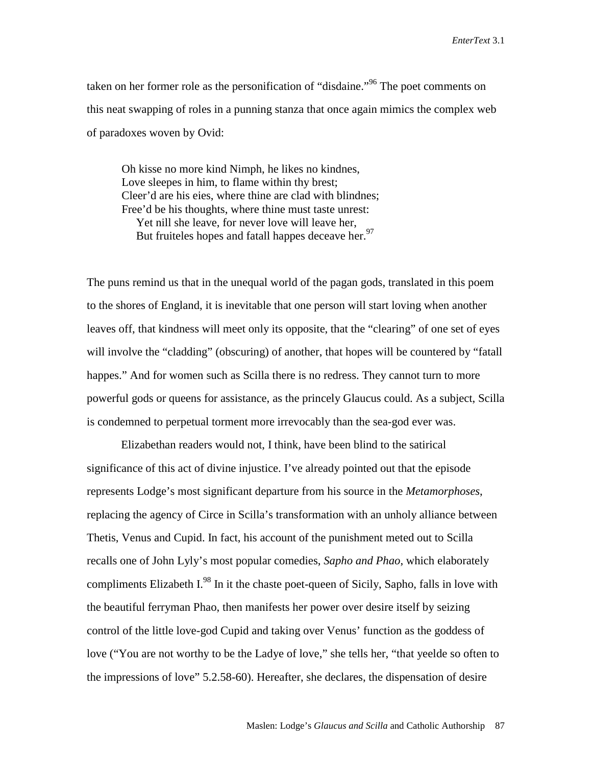taken on her former role as the personification of "disdaine."96 The poet comments on this neat swapping of roles in a punning stanza that once again mimics the complex web of paradoxes woven by Ovid:

Oh kisse no more kind Nimph, he likes no kindnes, Love sleepes in him, to flame within thy brest; Cleer'd are his eies, where thine are clad with blindnes; Free'd be his thoughts, where thine must taste unrest: Yet nill she leave, for never love will leave her, But fruiteles hopes and fatall happes deceave her.  $97$ 

The puns remind us that in the unequal world of the pagan gods, translated in this poem to the shores of England, it is inevitable that one person will start loving when another leaves off, that kindness will meet only its opposite, that the "clearing" of one set of eyes will involve the "cladding" (obscuring) of another, that hopes will be countered by "fatall happes." And for women such as Scilla there is no redress. They cannot turn to more powerful gods or queens for assistance, as the princely Glaucus could. As a subject, Scilla is condemned to perpetual torment more irrevocably than the sea-god ever was.

 Elizabethan readers would not, I think, have been blind to the satirical significance of this act of divine injustice. I've already pointed out that the episode represents Lodge's most significant departure from his source in the *Metamorphoses*, replacing the agency of Circe in Scilla's transformation with an unholy alliance between Thetis, Venus and Cupid. In fact, his account of the punishment meted out to Scilla recalls one of John Lyly's most popular comedies, *Sapho and Phao*, which elaborately compliments Elizabeth I.<sup>98</sup> In it the chaste poet-queen of Sicily, Sapho, falls in love with the beautiful ferryman Phao, then manifests her power over desire itself by seizing control of the little love-god Cupid and taking over Venus' function as the goddess of love ("You are not worthy to be the Ladye of love," she tells her, "that yeelde so often to the impressions of love" 5.2.58-60). Hereafter, she declares, the dispensation of desire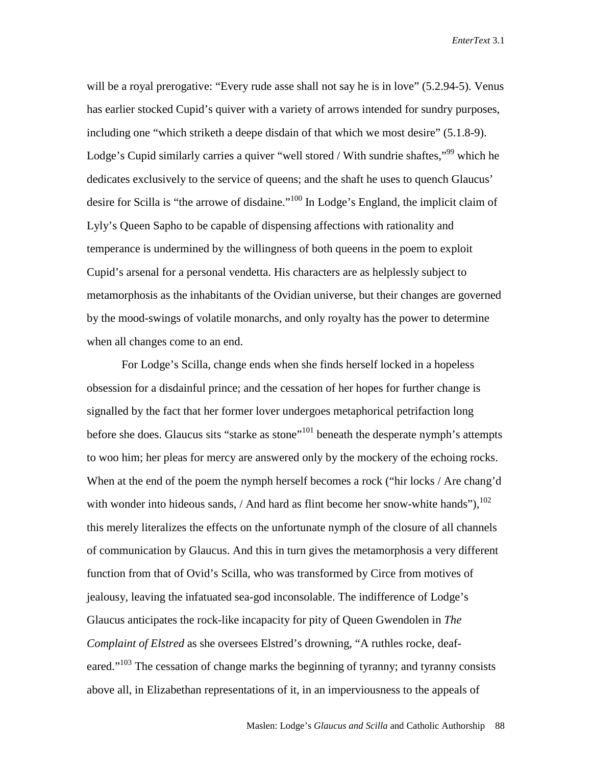will be a royal prerogative: "Every rude asse shall not say he is in love" (5.2.94-5). Venus has earlier stocked Cupid's quiver with a variety of arrows intended for sundry purposes, including one "which striketh a deepe disdain of that which we most desire" (5.1.8-9). Lodge's Cupid similarly carries a quiver "well stored / With sundrie shaftes,"<sup>99</sup> which he dedicates exclusively to the service of queens; and the shaft he uses to quench Glaucus' desire for Scilla is "the arrowe of disdaine."100 In Lodge's England, the implicit claim of Lyly's Queen Sapho to be capable of dispensing affections with rationality and temperance is undermined by the willingness of both queens in the poem to exploit Cupid's arsenal for a personal vendetta. His characters are as helplessly subject to metamorphosis as the inhabitants of the Ovidian universe, but their changes are governed by the mood-swings of volatile monarchs, and only royalty has the power to determine when all changes come to an end.

For Lodge's Scilla, change ends when she finds herself locked in a hopeless obsession for a disdainful prince; and the cessation of her hopes for further change is signalled by the fact that her former lover undergoes metaphorical petrifaction long before she does. Glaucus sits "starke as stone"<sup>101</sup> beneath the desperate nymph's attempts to woo him; her pleas for mercy are answered only by the mockery of the echoing rocks. When at the end of the poem the nymph herself becomes a rock ("hir locks / Are chang'd with wonder into hideous sands,  $/$  And hard as flint become her snow-white hands"),  $^{102}$ this merely literalizes the effects on the unfortunate nymph of the closure of all channels of communication by Glaucus. And this in turn gives the metamorphosis a very different function from that of Ovid's Scilla, who was transformed by Circe from motives of jealousy, leaving the infatuated sea-god inconsolable. The indifference of Lodge's Glaucus anticipates the rock-like incapacity for pity of Queen Gwendolen in *The Complaint of Elstred* as she oversees Elstred's drowning, "A ruthles rocke, deafeared."<sup>103</sup> The cessation of change marks the beginning of tyranny; and tyranny consists above all, in Elizabethan representations of it, in an imperviousness to the appeals of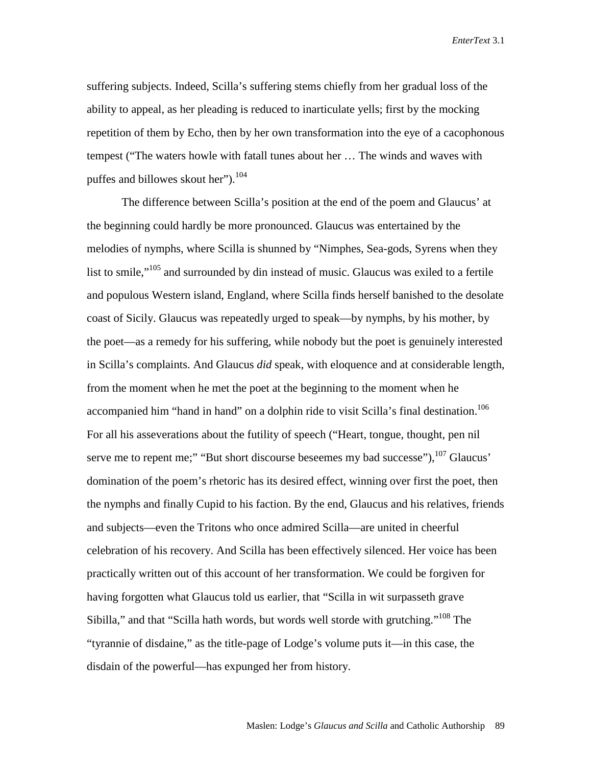suffering subjects. Indeed, Scilla's suffering stems chiefly from her gradual loss of the ability to appeal, as her pleading is reduced to inarticulate yells; first by the mocking repetition of them by Echo, then by her own transformation into the eye of a cacophonous tempest ("The waters howle with fatall tunes about her … The winds and waves with puffes and billowes skout her"). $104$ 

The difference between Scilla's position at the end of the poem and Glaucus' at the beginning could hardly be more pronounced. Glaucus was entertained by the melodies of nymphs, where Scilla is shunned by "Nimphes, Sea-gods, Syrens when they list to smile,"105 and surrounded by din instead of music. Glaucus was exiled to a fertile and populous Western island, England, where Scilla finds herself banished to the desolate coast of Sicily. Glaucus was repeatedly urged to speak—by nymphs, by his mother, by the poet—as a remedy for his suffering, while nobody but the poet is genuinely interested in Scilla's complaints. And Glaucus *did* speak, with eloquence and at considerable length, from the moment when he met the poet at the beginning to the moment when he accompanied him "hand in hand" on a dolphin ride to visit Scilla's final destination.<sup>106</sup> For all his asseverations about the futility of speech ("Heart, tongue, thought, pen nil serve me to repent me;" "But short discourse beseemes my bad successe"), <sup>107</sup> Glaucus' domination of the poem's rhetoric has its desired effect, winning over first the poet, then the nymphs and finally Cupid to his faction. By the end, Glaucus and his relatives, friends and subjects—even the Tritons who once admired Scilla—are united in cheerful celebration of his recovery. And Scilla has been effectively silenced. Her voice has been practically written out of this account of her transformation. We could be forgiven for having forgotten what Glaucus told us earlier, that "Scilla in wit surpasseth grave Sibilla," and that "Scilla hath words, but words well storde with grutching."<sup>108</sup> The "tyrannie of disdaine," as the title-page of Lodge's volume puts it—in this case, the disdain of the powerful—has expunged her from history.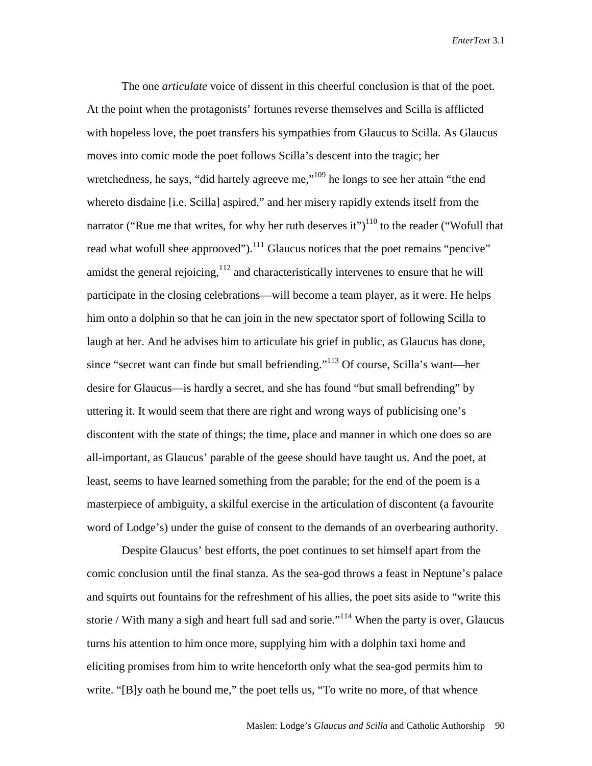The one *articulate* voice of dissent in this cheerful conclusion is that of the poet. At the point when the protagonists' fortunes reverse themselves and Scilla is afflicted with hopeless love, the poet transfers his sympathies from Glaucus to Scilla. As Glaucus moves into comic mode the poet follows Scilla's descent into the tragic; her wretchedness, he says, "did hartely agreeve me,"<sup>109</sup> he longs to see her attain "the end" whereto disdaine [i.e. Scilla] aspired," and her misery rapidly extends itself from the narrator ("Rue me that writes, for why her ruth deserves it")<sup>110</sup> to the reader ("Wofull that read what wofull shee approoved").<sup>111</sup> Glaucus notices that the poet remains "pencive" amidst the general rejoicing,  $112$  and characteristically intervenes to ensure that he will participate in the closing celebrations—will become a team player, as it were. He helps him onto a dolphin so that he can join in the new spectator sport of following Scilla to laugh at her. And he advises him to articulate his grief in public, as Glaucus has done, since "secret want can finde but small befriending."113 Of course, Scilla's want—her desire for Glaucus—is hardly a secret, and she has found "but small befrending" by uttering it. It would seem that there are right and wrong ways of publicising one's discontent with the state of things; the time, place and manner in which one does so are all-important, as Glaucus' parable of the geese should have taught us. And the poet, at least, seems to have learned something from the parable; for the end of the poem is a masterpiece of ambiguity, a skilful exercise in the articulation of discontent (a favourite word of Lodge's) under the guise of consent to the demands of an overbearing authority.

Despite Glaucus' best efforts, the poet continues to set himself apart from the comic conclusion until the final stanza. As the sea-god throws a feast in Neptune's palace and squirts out fountains for the refreshment of his allies, the poet sits aside to "write this storie / With many a sigh and heart full sad and sorie."<sup>114</sup> When the party is over, Glaucus turns his attention to him once more, supplying him with a dolphin taxi home and eliciting promises from him to write henceforth only what the sea-god permits him to write. "[B]y oath he bound me," the poet tells us, "To write no more, of that whence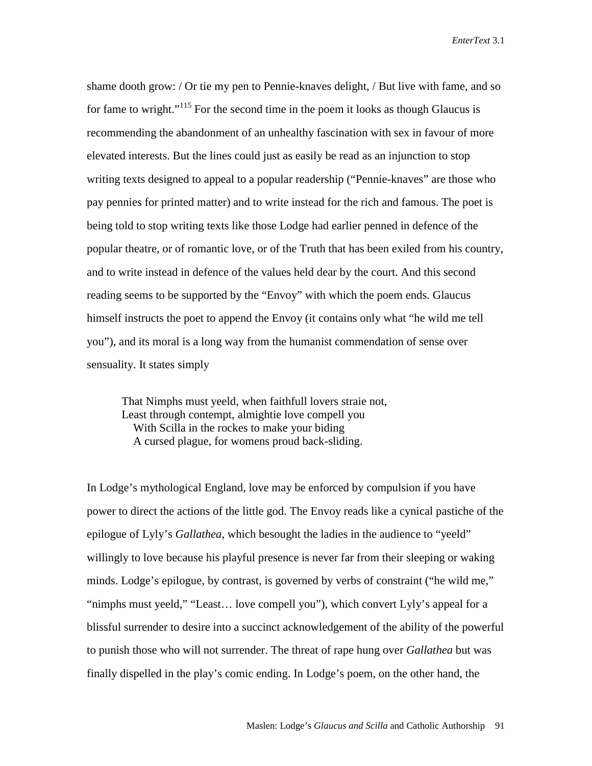shame dooth grow: / Or tie my pen to Pennie-knaves delight, / But live with fame, and so for fame to wright."<sup>115</sup> For the second time in the poem it looks as though Glaucus is recommending the abandonment of an unhealthy fascination with sex in favour of more elevated interests. But the lines could just as easily be read as an injunction to stop writing texts designed to appeal to a popular readership ("Pennie-knaves" are those who pay pennies for printed matter) and to write instead for the rich and famous. The poet is being told to stop writing texts like those Lodge had earlier penned in defence of the popular theatre, or of romantic love, or of the Truth that has been exiled from his country, and to write instead in defence of the values held dear by the court. And this second reading seems to be supported by the "Envoy" with which the poem ends. Glaucus himself instructs the poet to append the Envoy (it contains only what "he wild me tell you"), and its moral is a long way from the humanist commendation of sense over sensuality. It states simply

That Nimphs must yeeld, when faithfull lovers straie not, Least through contempt, almightie love compell you With Scilla in the rockes to make your biding A cursed plague, for womens proud back-sliding.

In Lodge's mythological England, love may be enforced by compulsion if you have power to direct the actions of the little god. The Envoy reads like a cynical pastiche of the epilogue of Lyly's *Gallathea*, which besought the ladies in the audience to "yeeld" willingly to love because his playful presence is never far from their sleeping or waking minds. Lodge's epilogue, by contrast, is governed by verbs of constraint ("he wild me," "nimphs must yeeld," "Least… love compell you"), which convert Lyly's appeal for a blissful surrender to desire into a succinct acknowledgement of the ability of the powerful to punish those who will not surrender. The threat of rape hung over *Gallathea* but was finally dispelled in the play's comic ending. In Lodge's poem, on the other hand, the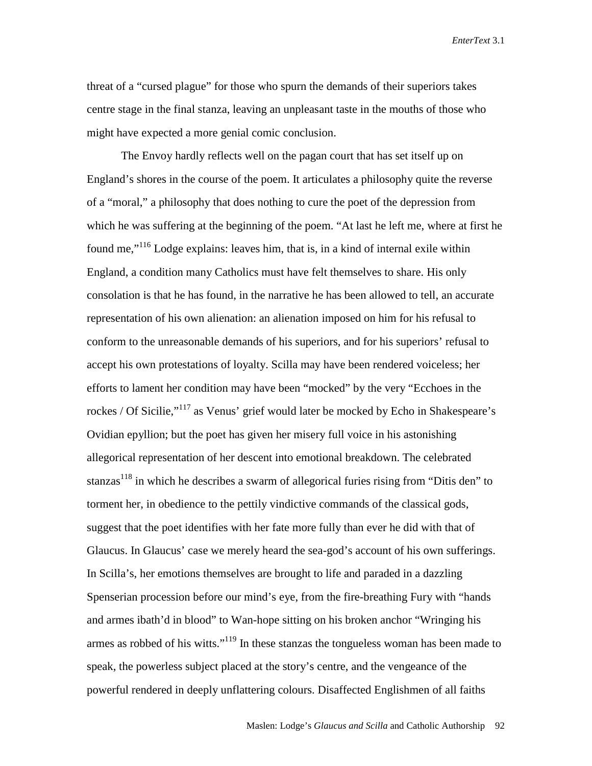threat of a "cursed plague" for those who spurn the demands of their superiors takes centre stage in the final stanza, leaving an unpleasant taste in the mouths of those who might have expected a more genial comic conclusion.

 The Envoy hardly reflects well on the pagan court that has set itself up on England's shores in the course of the poem. It articulates a philosophy quite the reverse of a "moral," a philosophy that does nothing to cure the poet of the depression from which he was suffering at the beginning of the poem. "At last he left me, where at first he found me,"116 Lodge explains: leaves him, that is, in a kind of internal exile within England, a condition many Catholics must have felt themselves to share. His only consolation is that he has found, in the narrative he has been allowed to tell, an accurate representation of his own alienation: an alienation imposed on him for his refusal to conform to the unreasonable demands of his superiors, and for his superiors' refusal to accept his own protestations of loyalty. Scilla may have been rendered voiceless; her efforts to lament her condition may have been "mocked" by the very "Ecchoes in the rockes / Of Sicilie,"<sup>117</sup> as Venus' grief would later be mocked by Echo in Shakespeare's Ovidian epyllion; but the poet has given her misery full voice in his astonishing allegorical representation of her descent into emotional breakdown. The celebrated stanzas<sup>118</sup> in which he describes a swarm of allegorical furies rising from "Ditis den" to torment her, in obedience to the pettily vindictive commands of the classical gods, suggest that the poet identifies with her fate more fully than ever he did with that of Glaucus. In Glaucus' case we merely heard the sea-god's account of his own sufferings. In Scilla's, her emotions themselves are brought to life and paraded in a dazzling Spenserian procession before our mind's eye, from the fire-breathing Fury with "hands and armes ibath'd in blood" to Wan-hope sitting on his broken anchor "Wringing his armes as robbed of his witts."<sup>119</sup> In these stanzas the tongueless woman has been made to speak, the powerless subject placed at the story's centre, and the vengeance of the powerful rendered in deeply unflattering colours. Disaffected Englishmen of all faiths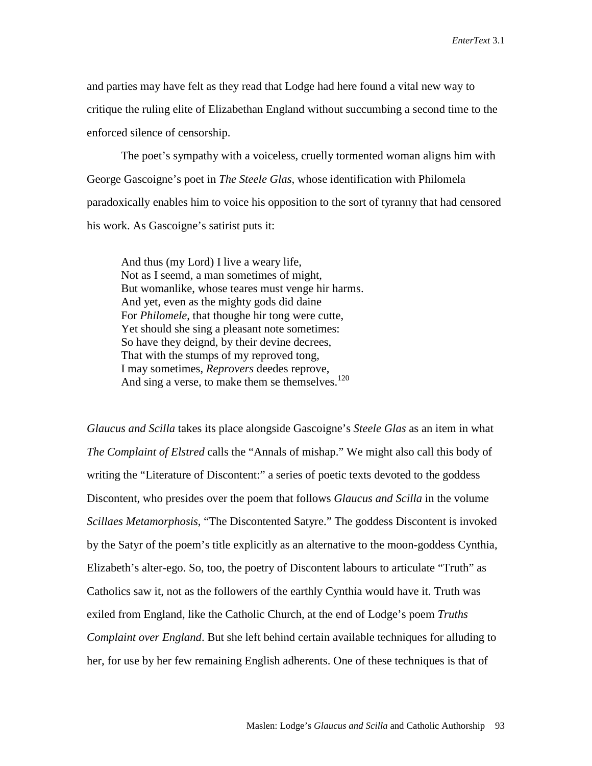and parties may have felt as they read that Lodge had here found a vital new way to critique the ruling elite of Elizabethan England without succumbing a second time to the enforced silence of censorship.

 The poet's sympathy with a voiceless, cruelly tormented woman aligns him with George Gascoigne's poet in *The Steele Glas*, whose identification with Philomela paradoxically enables him to voice his opposition to the sort of tyranny that had censored his work. As Gascoigne's satirist puts it:

 And thus (my Lord) I live a weary life, Not as I seemd, a man sometimes of might, But womanlike, whose teares must venge hir harms. And yet, even as the mighty gods did daine For *Philomele*, that thoughe hir tong were cutte, Yet should she sing a pleasant note sometimes: So have they deignd, by their devine decrees, That with the stumps of my reproved tong, I may sometimes, *Reprovers* deedes reprove, And sing a verse, to make them se themselves.<sup>120</sup>

*Glaucus and Scilla* takes its place alongside Gascoigne's *Steele Glas* as an item in what *The Complaint of Elstred* calls the "Annals of mishap." We might also call this body of writing the "Literature of Discontent:" a series of poetic texts devoted to the goddess Discontent, who presides over the poem that follows *Glaucus and Scilla* in the volume *Scillaes Metamorphosis*, "The Discontented Satyre." The goddess Discontent is invoked by the Satyr of the poem's title explicitly as an alternative to the moon-goddess Cynthia, Elizabeth's alter-ego. So, too, the poetry of Discontent labours to articulate "Truth" as Catholics saw it, not as the followers of the earthly Cynthia would have it. Truth was exiled from England, like the Catholic Church, at the end of Lodge's poem *Truths Complaint over England*. But she left behind certain available techniques for alluding to her, for use by her few remaining English adherents. One of these techniques is that of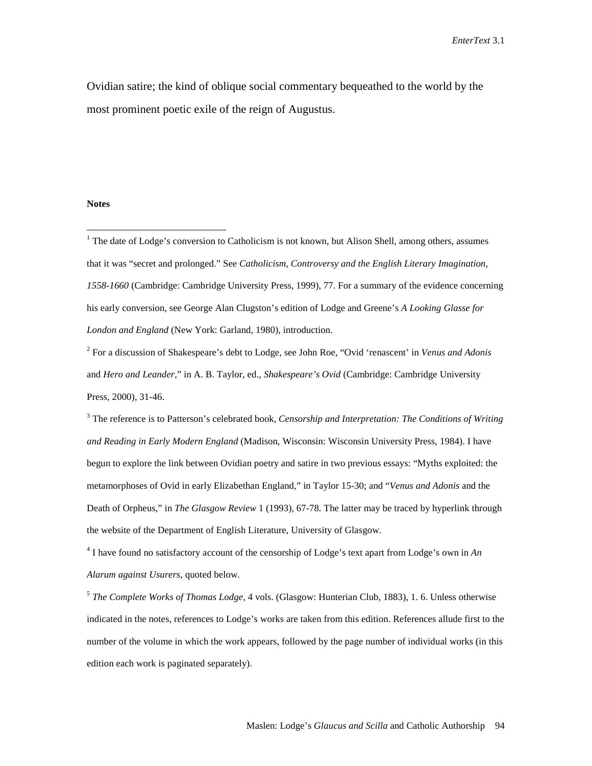Ovidian satire; the kind of oblique social commentary bequeathed to the world by the most prominent poetic exile of the reign of Augustus.

#### **Notes**

 $\overline{a}$ 

 $<sup>1</sup>$  The date of Lodge's conversion to Catholicism is not known, but Alison Shell, among others, assumes</sup> that it was "secret and prolonged." See *Catholicism, Controversy and the English Literary Imagination, 1558-1660* (Cambridge: Cambridge University Press, 1999), 77. For a summary of the evidence concerning his early conversion, see George Alan Clugston's edition of Lodge and Greene's *A Looking Glasse for London and England* (New York: Garland, 1980), introduction.

2 For a discussion of Shakespeare's debt to Lodge, see John Roe, "Ovid 'renascent' in *Venus and Adonis* and *Hero and Leander*," in A. B. Taylor, ed., *Shakespeare's Ovid* (Cambridge: Cambridge University Press, 2000), 31-46.

<sup>3</sup> The reference is to Patterson's celebrated book, *Censorship and Interpretation: The Conditions of Writing and Reading in Early Modern England* (Madison, Wisconsin: Wisconsin University Press, 1984). I have begun to explore the link between Ovidian poetry and satire in two previous essays: "Myths exploited: the metamorphoses of Ovid in early Elizabethan England," in Taylor 15-30; and "*Venus and Adonis* and the Death of Orpheus," in *The Glasgow Review* 1 (1993), 67-78. The latter may be traced by hyperlink through the website of the Department of English Literature, University of Glasgow.

4 I have found no satisfactory account of the censorship of Lodge's text apart from Lodge's own in *An Alarum against Usurers*, quoted below.

<sup>5</sup> *The Complete Works of Thomas Lodge*, 4 vols. (Glasgow: Hunterian Club, 1883), 1. 6. Unless otherwise indicated in the notes, references to Lodge's works are taken from this edition. References allude first to the number of the volume in which the work appears, followed by the page number of individual works (in this edition each work is paginated separately).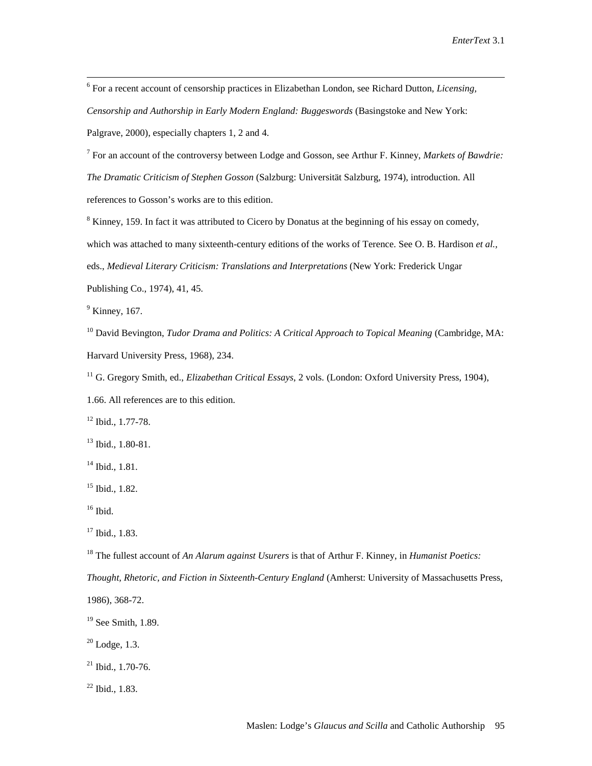$\frac{1}{6}$  For a recent account of censorship practices in Elizabethan London, see Richard Dutton, *Licensing, Censorship and Authorship in Early Modern England: Buggeswords* (Basingstoke and New York: Palgrave, 2000), especially chapters 1, 2 and 4.

7 For an account of the controversy between Lodge and Gosson, see Arthur F. Kinney, *Markets of Bawdrie: The Dramatic Criticism of Stephen Gosson* (Salzburg: Universität Salzburg, 1974), introduction. All references to Gosson's works are to this edition.

 $8$  Kinney, 159. In fact it was attributed to Cicero by Donatus at the beginning of his essay on comedy, which was attached to many sixteenth-century editions of the works of Terence. See O. B. Hardison *et al.,* eds., *Medieval Literary Criticism: Translations and Interpretations* (New York: Frederick Ungar Publishing Co., 1974), 41, 45.

 $<sup>9</sup>$  Kinney, 167.</sup>

<sup>10</sup> David Bevington, *Tudor Drama and Politics: A Critical Approach to Topical Meaning* (Cambridge, MA: Harvard University Press, 1968), 234.

11 G. Gregory Smith, ed., *Elizabethan Critical Essays*, 2 vols. (London: Oxford University Press, 1904),

1.66. All references are to this edition.

12 Ibid., 1.77-78.

13 Ibid., 1.80-81.

<sup>14</sup> Ibid., 1.81.

 $15$  Ibid.,  $1.82$ .

 $16$  Ibid.

<sup>17</sup> Ibid., 1.83.

18 The fullest account of *An Alarum against Usurers* is that of Arthur F. Kinney, in *Humanist Poetics:* 

*Thought, Rhetoric, and Fiction in Sixteenth-Century England* (Amherst: University of Massachusetts Press,

1986), 368-72.

<sup>19</sup> See Smith, 1.89.

 $20$  Lodge, 1.3.

 $21$  Ibid., 1.70-76.

 $22$  Ibid., 1.83.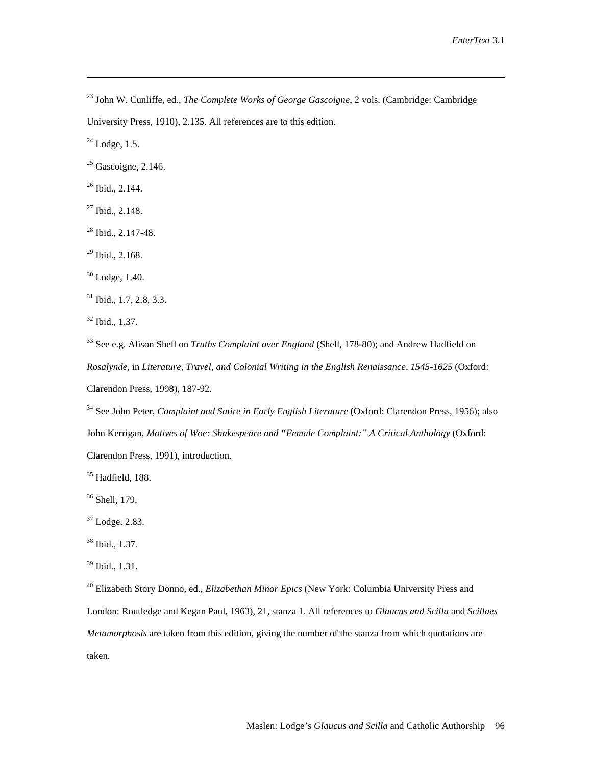23 John W. Cunliffe, ed., *The Complete Works of George Gascoigne*, 2 vols. (Cambridge: Cambridge

University Press, 1910), 2.135. All references are to this edition.

24 Lodge*,* 1.5.

<u>.</u>

 $25$  Gascoigne, 2.146.

 $26$  Ibid., 2.144.

 $27$  Ibid., 2.148.

 $28$  Ibid., 2.147-48.

 $29$  Ibid., 2.168.

30 Lodge, 1.40.

 $31$  Ibid., 1.7, 2.8, 3.3.

 $32$  Ibid., 1.37.

33 See e.g. Alison Shell on *Truths Complaint over England* (Shell, 178-80); and Andrew Hadfield on *Rosalynde*, in *Literature, Travel, and Colonial Writing in the English Renaissance, 1545-1625* (Oxford: Clarendon Press, 1998), 187-92.

34 See John Peter, *Complaint and Satire in Early English Literature* (Oxford: Clarendon Press, 1956); also John Kerrigan, *Motives of Woe: Shakespeare and "Female Complaint:" A Critical Anthology* (Oxford: Clarendon Press, 1991), introduction.

 $35$  Hadfield, 188.

<sup>36</sup> Shell, 179.

37 Lodge*,* 2.83.

38 Ibid., 1.37.

39 Ibid., 1.31.

40 Elizabeth Story Donno, ed., *Elizabethan Minor Epics* (New York: Columbia University Press and London: Routledge and Kegan Paul, 1963), 21, stanza 1. All references to *Glaucus and Scilla* and *Scillaes Metamorphosis* are taken from this edition, giving the number of the stanza from which quotations are taken.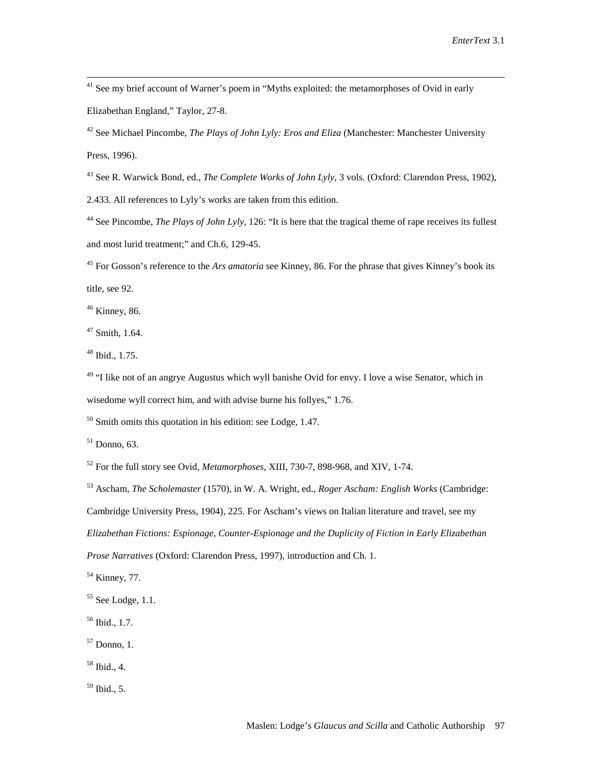<sup>41</sup> See my brief account of Warner's poem in "Myths exploited: the metamorphoses of Ovid in early Elizabethan England," Taylor, 27-8.

42 See Michael Pincombe, *The Plays of John Lyly: Eros and Eliza* (Manchester: Manchester University Press, 1996).

43 See R. Warwick Bond, ed., *The Complete Works of John Lyly*, 3 vols. (Oxford: Clarendon Press, 1902),

2.433. All references to Lyly's works are taken from this edition.

<sup>44</sup> See Pincombe, *The Plays of John Lyly*, 126: "It is here that the tragical theme of rape receives its fullest and most lurid treatment;" and Ch.6, 129-45.

45 For Gosson's reference to the *Ars amatoria* see Kinney, 86. For the phrase that gives Kinney's book its title, see 92.

46 Kinney, 86.

 $47$  Smith, 1.64.

48 Ibid., 1.75.

<sup>49</sup> "I like not of an angrye Augustus which wyll banishe Ovid for envy. I love a wise Senator, which in wisedome wyll correct him, and with advise burne his follyes," 1.76.

 $50$  Smith omits this quotation in his edition: see Lodge, 1.47.

 $51$  Donno, 63.

52 For the full story see Ovid, *Metamorphoses*, XIII, 730-7, 898-968, and XIV, 1-74.

53 Ascham, *The Scholemaster* (1570), in W. A. Wright, ed., *Roger Ascham: English Works* (Cambridge: Cambridge University Press, 1904), 225. For Ascham's views on Italian literature and travel, see my *Elizabethan Fictions: Espionage, Counter-Espionage and the Duplicity of Fiction in Early Elizabethan Prose Narratives* (Oxford: Clarendon Press, 1997), introduction and Ch. 1.

<sup>54</sup> Kinney, 77.

58 Ibid., 4.

 $59$  Ibid., 5.

 $55$  See Lodge, 1.1.

 $56$  Ibid., 1.7.

 $57$  Donno, 1.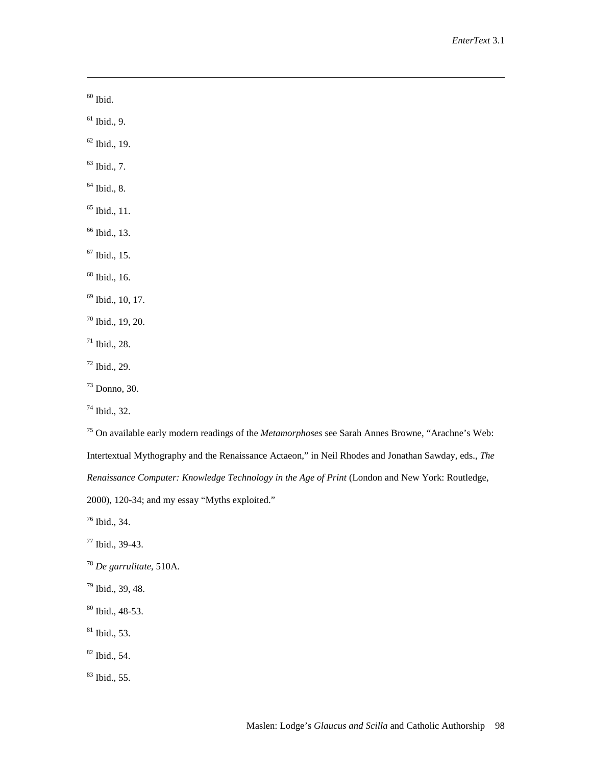$\,$   $^{60}$  Ibid.

<u>.</u>

 $61$  Ibid., 9.

 $62$  Ibid., 19.

 $63$  Ibid., 7.

 $64$  Ibid., 8.

 $65$  Ibid., 11.

66 Ibid., 13.

 $67$  Ibid., 15.

68 Ibid., 16.

69 Ibid., 10, 17.

 $70$  Ibid., 19, 20.

 $71$  Ibid., 28.

 $72$  Ibid., 29.

73 Donno, 30.

74 Ibid., 32.

75 On available early modern readings of the *Metamorphoses* see Sarah Annes Browne, "Arachne's Web: Intertextual Mythography and the Renaissance Actaeon," in Neil Rhodes and Jonathan Sawday, eds., *The Renaissance Computer: Knowledge Technology in the Age of Print* (London and New York: Routledge, 2000), 120-34; and my essay "Myths exploited."

76 Ibid., 34.

 $77$  Ibid., 39-43.

<sup>78</sup> *De garrulitate*, 510A.

79 Ibid., 39, 48.

80 Ibid., 48-53.

 $81$  Ibid., 53.

82 Ibid., 54.

83 Ibid., 55.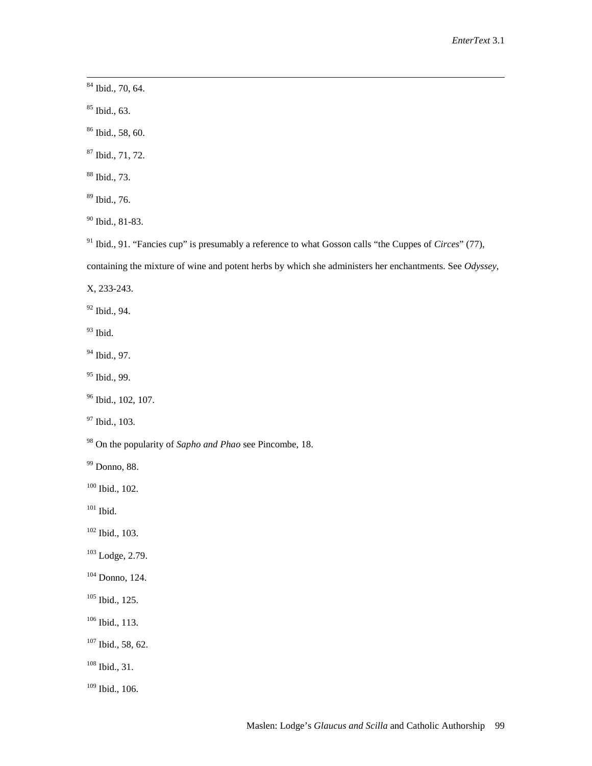84 Ibid., 70, 64.

85 Ibid., 63.

86 Ibid., 58, 60.

87 Ibid., 71, 72.

88 Ibid., 73.

89 Ibid., 76.

90 Ibid., 81-83.

91 Ibid., 91. "Fancies cup" is presumably a reference to what Gosson calls "the Cuppes of *Circes*" (77),

containing the mixture of wine and potent herbs by which she administers her enchantments. See *Odyssey*,

X, 233-243.

92 Ibid., 94.

 $93$  Ibid.

<sup>94</sup> Ibid., 97.

<sup>95</sup> Ibid., 99.

<sup>96</sup> Ibid., 102, 107.

<sup>97</sup> Ibid., 103.

98 On the popularity of *Sapho and Phao* see Pincombe, 18.

99 Donno, 88.

 $100$  Ibid., 102.

 $101$  Ibid.

102 Ibid., 103.

 $103$  Lodge, 2.79.

104 Donno, 124.

105 Ibid., 125.

106 Ibid., 113.

107 Ibid., 58, 62.

108 Ibid., 31.

 $109$  Ibid., 106.